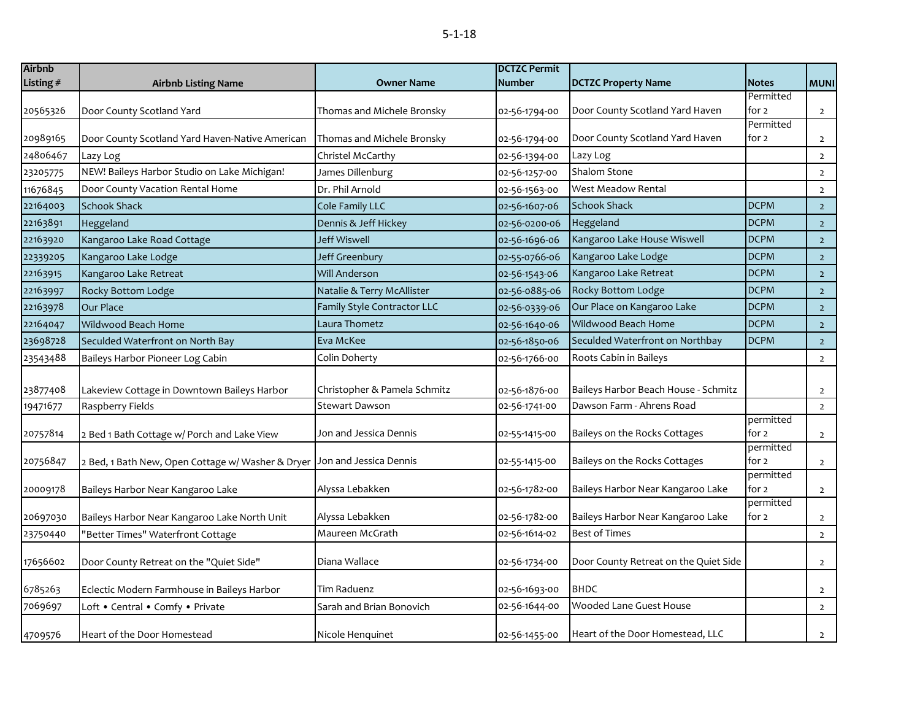| ×<br>٧<br>×<br>۰. |
|-------------------|
|-------------------|

| <b>Airbnb</b> |                                                   |                              | <b>DCTZC Permit</b> |                                       |                    |                |
|---------------|---------------------------------------------------|------------------------------|---------------------|---------------------------------------|--------------------|----------------|
| Listing #     | <b>Airbnb Listing Name</b>                        | <b>Owner Name</b>            | <b>Number</b>       | <b>DCTZC Property Name</b>            | <b>Notes</b>       | <b>MUNI</b>    |
|               |                                                   |                              |                     |                                       | Permitted          |                |
| 20565326      | Door County Scotland Yard                         | Thomas and Michele Bronsky   | 02-56-1794-00       | Door County Scotland Yard Haven       | for 2              | $\overline{2}$ |
|               |                                                   |                              |                     |                                       | Permitted          |                |
| 20989165      | Door County Scotland Yard Haven-Native American   | Thomas and Michele Bronsky   | 02-56-1794-00       | Door County Scotland Yard Haven       | for 2              | $\overline{2}$ |
| 24806467      | Lazy Log                                          | Christel McCarthy            | 02-56-1394-00       | Lazy Log                              |                    | $\overline{2}$ |
| 23205775      | NEW! Baileys Harbor Studio on Lake Michigan!      | James Dillenburg             | 02-56-1257-00       | Shalom Stone                          |                    | $\mathsf{2}\,$ |
| 11676845      | Door County Vacation Rental Home                  | Dr. Phil Arnold              | 02-56-1563-00       | West Meadow Rental                    |                    | $\overline{2}$ |
| 22164003      | <b>Schook Shack</b>                               | Cole Family LLC              | 02-56-1607-06       | <b>Schook Shack</b>                   | <b>DCPM</b>        | $\overline{2}$ |
| 22163891      | Heggeland                                         | Dennis & Jeff Hickey         | 02-56-0200-06       | Heggeland                             | <b>DCPM</b>        | $\overline{2}$ |
| 22163920      | Kangaroo Lake Road Cottage                        | <b>Jeff Wiswell</b>          | 02-56-1696-06       | Kangaroo Lake House Wiswell           | <b>DCPM</b>        | $\overline{2}$ |
| 22339205      | Kangaroo Lake Lodge                               | Jeff Greenbury               | 02-55-0766-06       | Kangaroo Lake Lodge                   | <b>DCPM</b>        | $\overline{2}$ |
| 22163915      | Kangaroo Lake Retreat                             | <b>Will Anderson</b>         | 02-56-1543-06       | Kangaroo Lake Retreat                 | <b>DCPM</b>        | $\overline{2}$ |
| 22163997      | Rocky Bottom Lodge                                | Natalie & Terry McAllister   | 02-56-0885-06       | Rocky Bottom Lodge                    | <b>DCPM</b>        | $\overline{2}$ |
| 22163978      | Our Place                                         | Family Style Contractor LLC  | 02-56-0339-06       | Our Place on Kangaroo Lake            | <b>DCPM</b>        | $\overline{2}$ |
| 22164047      | Wildwood Beach Home                               | Laura Thometz                | 02-56-1640-06       | Wildwood Beach Home                   | <b>DCPM</b>        | $\overline{2}$ |
| 23698728      | Seculded Waterfront on North Bay                  | Eva McKee                    | 02-56-1850-06       | Seculded Waterfront on Northbay       | <b>DCPM</b>        | $\overline{2}$ |
| 23543488      | Baileys Harbor Pioneer Log Cabin                  | Colin Doherty                | 02-56-1766-00       | Roots Cabin in Baileys                |                    | $\overline{2}$ |
|               |                                                   |                              |                     |                                       |                    |                |
| 23877408      | Lakeview Cottage in Downtown Baileys Harbor       | Christopher & Pamela Schmitz | 02-56-1876-00       | Baileys Harbor Beach House - Schmitz  |                    | $\overline{2}$ |
| 19471677      | Raspberry Fields                                  | <b>Stewart Dawson</b>        | 02-56-1741-00       | Dawson Farm - Ahrens Road             |                    | $\overline{2}$ |
|               |                                                   |                              |                     |                                       | permitted          |                |
| 20757814      | 2 Bed 1 Bath Cottage w/ Porch and Lake View       | Jon and Jessica Dennis       | 02-55-1415-00       | Baileys on the Rocks Cottages         | for 2              | $\overline{2}$ |
| 20756847      | 2 Bed, 1 Bath New, Open Cottage w/ Washer & Dryer | Jon and Jessica Dennis       | 02-55-1415-00       | Baileys on the Rocks Cottages         | permitted<br>for 2 |                |
|               |                                                   |                              |                     |                                       | permitted          | $\overline{2}$ |
| 20009178      | Baileys Harbor Near Kangaroo Lake                 | Alyssa Lebakken              | 02-56-1782-00       | Baileys Harbor Near Kangaroo Lake     | for 2              | $\overline{2}$ |
|               |                                                   |                              |                     |                                       | permitted          |                |
| 20697030      | Baileys Harbor Near Kangaroo Lake North Unit      | Alyssa Lebakken              | 02-56-1782-00       | Baileys Harbor Near Kangaroo Lake     | for 2              | $\overline{2}$ |
| 23750440      | "Better Times" Waterfront Cottage                 | Maureen McGrath              | 02-56-1614-02       | <b>Best of Times</b>                  |                    | $\overline{2}$ |
|               |                                                   |                              |                     |                                       |                    |                |
| 17656602      | Door County Retreat on the "Quiet Side"           | Diana Wallace                | 02-56-1734-00       | Door County Retreat on the Quiet Side |                    | $\overline{2}$ |
| 6785263       | Eclectic Modern Farmhouse in Baileys Harbor       | Tim Raduenz                  | 02-56-1693-00       | <b>BHDC</b>                           |                    | $\overline{2}$ |
| 7069697       | Loft . Central . Comfy . Private                  | Sarah and Brian Bonovich     | 02-56-1644-00       | Wooded Lane Guest House               |                    | $\overline{2}$ |
|               |                                                   |                              |                     |                                       |                    |                |
| 4709576       | Heart of the Door Homestead                       | Nicole Henguinet             | 02-56-1455-00       | Heart of the Door Homestead, LLC      |                    | $\overline{2}$ |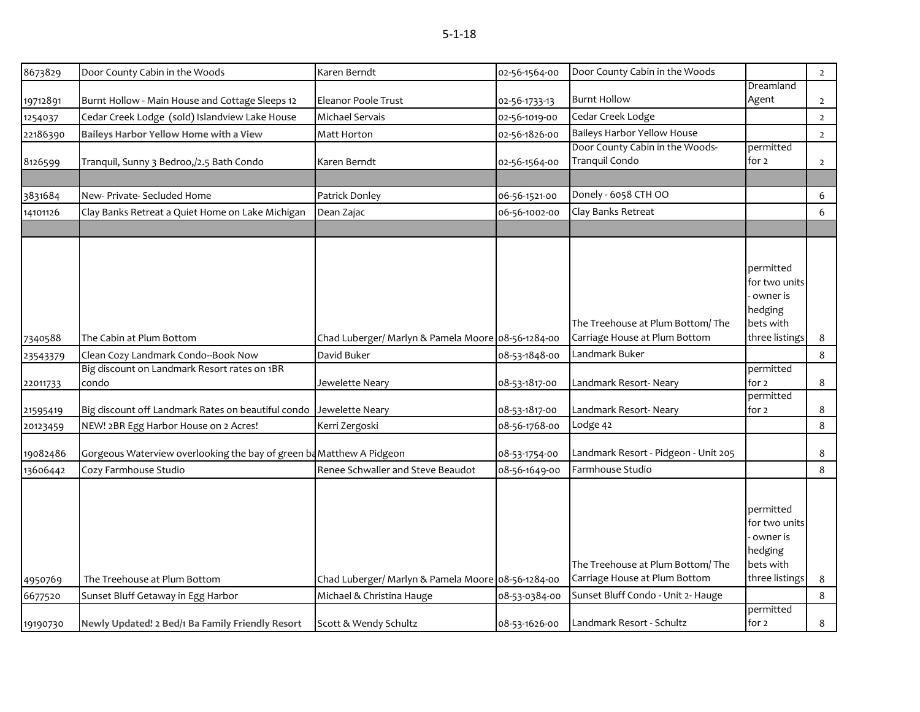| 8673829  | Door County Cabin in the Woods                                       | Karen Berndt                                       | 02-56-1564-00 | Door County Cabin in the Woods       |                | $\overline{2}$ |
|----------|----------------------------------------------------------------------|----------------------------------------------------|---------------|--------------------------------------|----------------|----------------|
|          |                                                                      |                                                    |               |                                      | Dreamland      |                |
| 19712891 | Burnt Hollow - Main House and Cottage Sleeps 12                      | Eleanor Poole Trust                                | 02-56-1733-13 | <b>Burnt Hollow</b>                  | Agent          | $\overline{2}$ |
| 1254037  | Cedar Creek Lodge (sold) Islandview Lake House                       | Michael Servais                                    | 02-56-1019-00 | Cedar Creek Lodge                    |                | $\overline{2}$ |
| 22186390 | Baileys Harbor Yellow Home with a View                               | Matt Horton                                        | 02-56-1826-00 | <b>Baileys Harbor Yellow House</b>   |                | $\overline{2}$ |
|          |                                                                      |                                                    |               | Door County Cabin in the Woods-      | permitted      |                |
| 8126599  | Tranquil, Sunny 3 Bedroo,/2.5 Bath Condo                             | Karen Berndt                                       | 02-56-1564-00 | Tranquil Condo                       | for 2          | $\overline{2}$ |
|          |                                                                      |                                                    |               |                                      |                |                |
| 3831684  | New- Private- Secluded Home                                          | Patrick Donley                                     | 06-56-1521-00 | Donely - 6058 CTH OO                 |                | 6              |
| 14101126 | Clay Banks Retreat a Quiet Home on Lake Michigan                     | Dean Zajac                                         | 06-56-1002-00 | Clay Banks Retreat                   |                | 6              |
|          |                                                                      |                                                    |               |                                      |                |                |
|          |                                                                      |                                                    |               |                                      |                |                |
|          |                                                                      |                                                    |               |                                      |                |                |
|          |                                                                      |                                                    |               |                                      | permitted      |                |
|          |                                                                      |                                                    |               |                                      | for two units  |                |
|          |                                                                      |                                                    |               |                                      | owner is       |                |
|          |                                                                      |                                                    |               |                                      | hedging        |                |
|          |                                                                      |                                                    |               | The Treehouse at Plum Bottom/The     | bets with      |                |
| 7340588  | The Cabin at Plum Bottom                                             | Chad Luberger/ Marlyn & Pamela Moore 08-56-1284-00 |               | Carriage House at Plum Bottom        | three listings | 8              |
| 23543379 | Clean Cozy Landmark Condo--Book Now                                  | David Buker                                        | 08-53-1848-00 | Landmark Buker                       |                | 8              |
|          | Big discount on Landmark Resort rates on 1BR                         |                                                    |               |                                      | permitted      |                |
| 22011733 | condo                                                                | Jewelette Neary                                    | 08-53-1817-00 | Landmark Resort- Neary               | for 2          | $\bf 8$        |
|          |                                                                      |                                                    |               |                                      | permitted      |                |
| 21595419 | Big discount off Landmark Rates on beautiful condo Jewelette Neary   |                                                    | 08-53-1817-00 | Landmark Resort-Neary                | for 2          | 8              |
| 20123459 | NEW! 2BR Egg Harbor House on 2 Acres!                                | Kerri Zergoski                                     | 08-56-1768-00 | Lodge 42                             |                | $\bf 8$        |
| 19082486 | Gorgeous Waterview overlooking the bay of green ba Matthew A Pidgeon |                                                    | 08-53-1754-00 | Landmark Resort - Pidgeon - Unit 205 |                | 8              |
| 13606442 | Cozy Farmhouse Studio                                                | Renee Schwaller and Steve Beaudot                  | 08-56-1649-00 | Farmhouse Studio                     |                | 8              |
|          |                                                                      |                                                    |               |                                      |                |                |
|          |                                                                      |                                                    |               |                                      |                |                |
|          |                                                                      |                                                    |               |                                      | permitted      |                |
|          |                                                                      |                                                    |               |                                      | for two units  |                |
|          |                                                                      |                                                    |               |                                      | owner is       |                |
|          |                                                                      |                                                    |               |                                      | hedging        |                |
|          |                                                                      |                                                    |               | The Treehouse at Plum Bottom/The     | bets with      |                |
| 4950769  | The Treehouse at Plum Bottom                                         | Chad Luberger/ Marlyn & Pamela Moore 08-56-1284-00 |               | Carriage House at Plum Bottom        | three listings | 8              |
| 6677520  | Sunset Bluff Getaway in Egg Harbor                                   | Michael & Christina Hauge                          | 08-53-0384-00 | Sunset Bluff Condo - Unit 2- Hauge   |                | 8              |
|          |                                                                      |                                                    |               |                                      | permitted      |                |
| 19190730 | Newly Updated! 2 Bed/1 Ba Family Friendly Resort                     | Scott & Wendy Schultz                              | 08-53-1626-00 | Landmark Resort - Schultz            | for 2          | 8              |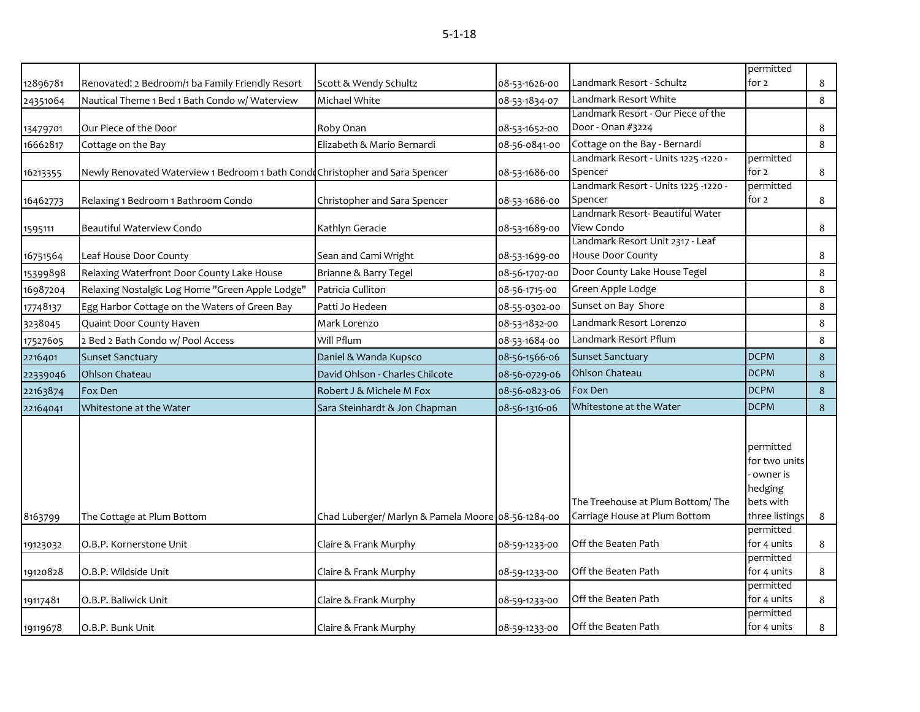|          |                                                                               |                                                    |               |                                                                   | permitted                                                                        |         |
|----------|-------------------------------------------------------------------------------|----------------------------------------------------|---------------|-------------------------------------------------------------------|----------------------------------------------------------------------------------|---------|
| 12896781 | Renovated! 2 Bedroom/1 ba Family Friendly Resort                              | Scott & Wendy Schultz                              | 08-53-1626-00 | Landmark Resort - Schultz                                         | for 2                                                                            | 8       |
| 24351064 | Nautical Theme 1 Bed 1 Bath Condo w/ Waterview                                | Michael White                                      | 08-53-1834-07 | Landmark Resort White                                             |                                                                                  | 8       |
|          |                                                                               |                                                    |               | Landmark Resort - Our Piece of the                                |                                                                                  |         |
| 13479701 | Our Piece of the Door                                                         | Roby Onan                                          | 08-53-1652-00 | Door - Onan #3224                                                 |                                                                                  | 8       |
| 16662817 | Cottage on the Bay                                                            | Elizabeth & Mario Bernardi                         | 08-56-0841-00 | Cottage on the Bay - Bernardi                                     |                                                                                  | 8       |
|          |                                                                               |                                                    |               | - Landmark Resort - Units 1225 -1220                              | permitted                                                                        |         |
| 16213355 | Newly Renovated Waterview 1 Bedroom 1 bath Condo Christopher and Sara Spencer |                                                    | 08-53-1686-00 | Spencer                                                           | for 2                                                                            | 8       |
|          |                                                                               |                                                    |               | - Landmark Resort - Units 1225 -1220                              | permitted                                                                        |         |
| 16462773 | Relaxing 1 Bedroom 1 Bathroom Condo                                           | Christopher and Sara Spencer                       | 08-53-1686-00 | Spencer<br>Landmark Resort- Beautiful Water                       | for 2                                                                            | 8       |
|          | Beautiful Waterview Condo                                                     | Kathlyn Geracie                                    | 08-53-1689-00 | View Condo                                                        |                                                                                  | 8       |
| 1595111  |                                                                               |                                                    |               | Landmark Resort Unit 2317 - Leaf                                  |                                                                                  |         |
| 16751564 | Leaf House Door County                                                        | Sean and Cami Wright                               | 08-53-1699-00 | House Door County                                                 |                                                                                  | 8       |
| 15399898 | Relaxing Waterfront Door County Lake House                                    | Brianne & Barry Tegel                              | 08-56-1707-00 | Door County Lake House Tegel                                      |                                                                                  | $\bf 8$ |
| 16987204 | Relaxing Nostalgic Log Home "Green Apple Lodge"                               | Patricia Culliton                                  | 08-56-1715-00 | Green Apple Lodge                                                 |                                                                                  | 8       |
| 17748137 | Egg Harbor Cottage on the Waters of Green Bay                                 | Patti Jo Hedeen                                    | 08-55-0302-00 | Sunset on Bay Shore                                               |                                                                                  | $\bf 8$ |
| 3238045  | Quaint Door County Haven                                                      | Mark Lorenzo                                       | 08-53-1832-00 | Landmark Resort Lorenzo                                           |                                                                                  | 8       |
| 17527605 | 2 Bed 2 Bath Condo w/ Pool Access                                             | Will Pflum                                         | 08-53-1684-00 | Landmark Resort Pflum                                             |                                                                                  | 8       |
| 2216401  | <b>Sunset Sanctuary</b>                                                       | Daniel & Wanda Kupsco                              | 08-56-1566-06 | <b>Sunset Sanctuary</b>                                           | <b>DCPM</b>                                                                      | 8       |
| 22339046 | Ohlson Chateau                                                                | David Ohlson - Charles Chilcote                    | 08-56-0729-06 | Ohlson Chateau                                                    | <b>DCPM</b>                                                                      | 8       |
| 22163874 | Fox Den                                                                       | Robert J & Michele M Fox                           | 08-56-0823-06 | Fox Den                                                           | <b>DCPM</b>                                                                      | 8       |
| 22164041 | Whitestone at the Water                                                       | Sara Steinhardt & Jon Chapman                      | 08-56-1316-06 | Whitestone at the Water                                           | <b>DCPM</b>                                                                      | 8       |
| 8163799  | The Cottage at Plum Bottom                                                    | Chad Luberger/ Marlyn & Pamela Moore 08-56-1284-00 |               | The Treehouse at Plum Bottom/The<br>Carriage House at Plum Bottom | permitted<br>for two units<br>owner is<br>hedging<br>bets with<br>three listings | 8       |
|          |                                                                               |                                                    |               |                                                                   | permitted                                                                        |         |
| 19123032 | O.B.P. Kornerstone Unit                                                       | Claire & Frank Murphy                              | 08-59-1233-00 | Off the Beaten Path                                               | for 4 units                                                                      | 8       |
|          |                                                                               |                                                    |               |                                                                   | permitted                                                                        |         |
| 19120828 | O.B.P. Wildside Unit                                                          | Claire & Frank Murphy                              | 08-59-1233-00 | Off the Beaten Path                                               | for 4 units                                                                      | 8       |
|          |                                                                               |                                                    |               | Off the Beaten Path                                               | permitted<br>for 4 units                                                         | 8       |
| 19117481 | O.B.P. Baliwick Unit                                                          | Claire & Frank Murphy                              | 08-59-1233-00 |                                                                   | permitted                                                                        |         |
| 19119678 | O.B.P. Bunk Unit                                                              | Claire & Frank Murphy                              | 08-59-1233-00 | Off the Beaten Path                                               | for 4 units                                                                      | 8       |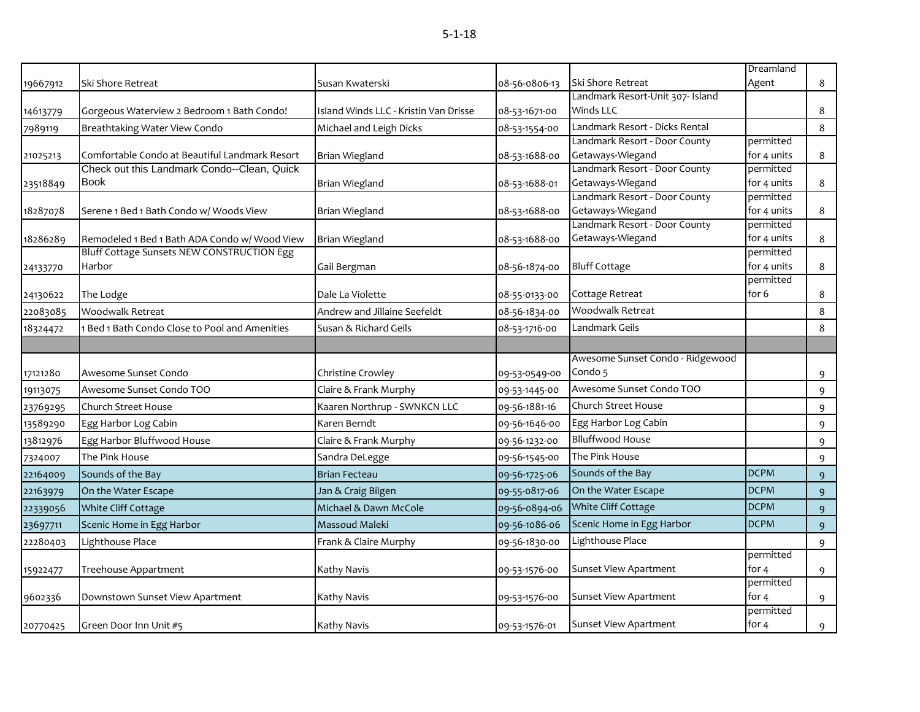|          |                                                |                                       |               |                                                   | Dreamland                |                  |
|----------|------------------------------------------------|---------------------------------------|---------------|---------------------------------------------------|--------------------------|------------------|
| 19667912 | Ski Shore Retreat                              | Susan Kwaterski                       | 08-56-0806-13 | Ski Shore Retreat                                 | Agent                    | 8                |
|          |                                                |                                       |               | Landmark Resort-Unit 307- Island                  |                          |                  |
| 14613779 | Gorgeous Waterview 2 Bedroom 1 Bath Condo!     | Island Winds LLC - Kristin Van Drisse | 08-53-1671-00 | Winds LLC                                         |                          | 8                |
| 7989119  | Breathtaking Water View Condo                  | Michael and Leigh Dicks               | 08-53-1554-00 | Landmark Resort - Dicks Rental                    |                          | 8                |
|          |                                                |                                       |               | Landmark Resort - Door County                     | permitted                |                  |
| 21025213 | Comfortable Condo at Beautiful Landmark Resort | Brian Wiegland                        | 08-53-1688-00 | Getaways-Wiegand                                  | for 4 units              | 8                |
|          | Check out this Landmark Condo--Clean, Quick    |                                       |               | Landmark Resort - Door County                     | permitted                |                  |
| 23518849 | <b>Book</b>                                    | Brian Wiegland                        | 08-53-1688-01 | Getaways-Wiegand                                  | for 4 units              | 8                |
|          |                                                |                                       |               | Landmark Resort - Door County                     | permitted                |                  |
| 18287078 | Serene 1 Bed 1 Bath Condo w/ Woods View        | <b>Brian Wiegland</b>                 | 08-53-1688-00 | Getaways-Wiegand<br>Landmark Resort - Door County | for 4 units<br>permitted | 8                |
| 18286289 | Remodeled 1 Bed 1 Bath ADA Condo w/ Wood View  | <b>Brian Wiegland</b>                 | 08-53-1688-00 | Getaways-Wiegand                                  | for 4 units              | 8                |
|          | Bluff Cottage Sunsets NEW CONSTRUCTION Egg     |                                       |               |                                                   | permitted                |                  |
| 24133770 | Harbor                                         | Gail Bergman                          | 08-56-1874-00 | <b>Bluff Cottage</b>                              | for 4 units              | 8                |
|          |                                                |                                       |               |                                                   | permitted                |                  |
| 24130622 | The Lodge                                      | Dale La Violette                      | 08-55-0133-00 | Cottage Retreat                                   | for 6                    | 8                |
| 22083085 | Woodwalk Retreat                               | Andrew and Jillaine Seefeldt          | 08-56-1834-00 | <b>Woodwalk Retreat</b>                           |                          | 8                |
| 18324472 | Bed 1 Bath Condo Close to Pool and Amenities   | Susan & Richard Geils                 | 08-53-1716-00 | Landmark Geils                                    |                          | 8                |
|          |                                                |                                       |               |                                                   |                          |                  |
|          |                                                |                                       |               | Awesome Sunset Condo - Ridgewood                  |                          |                  |
| 17121280 | Awesome Sunset Condo                           | Christine Crowley                     | 09-53-0549-00 | Condo 5                                           |                          | 9                |
| 19113075 | Awesome Sunset Condo TOO                       | Claire & Frank Murphy                 | 09-53-1445-00 | Awesome Sunset Condo TOO                          |                          | 9                |
| 23769295 | Church Street House                            | Kaaren Northrup - SWNKCN LLC          | 09-56-1881-16 | Church Street House                               |                          | 9                |
| 13589290 | Egg Harbor Log Cabin                           | Karen Berndt                          | 09-56-1646-00 | Egg Harbor Log Cabin                              |                          | 9                |
| 13812976 | Egg Harbor Bluffwood House                     | Claire & Frank Murphy                 | 09-56-1232-00 | <b>Blluffwood House</b>                           |                          | 9                |
| 7324007  | The Pink House                                 | Sandra DeLegge                        | 09-56-1545-00 | The Pink House                                    |                          | 9                |
| 22164009 | Sounds of the Bay                              | <b>Brian Fecteau</b>                  | 09-56-1725-06 | Sounds of the Bay                                 | <b>DCPM</b>              | $\boldsymbol{9}$ |
| 22163979 | On the Water Escape                            | Jan & Craig Bilgen                    | 09-55-0817-06 | On the Water Escape                               | <b>DCPM</b>              | 9                |
| 22339056 | White Cliff Cottage                            | Michael & Dawn McCole                 | 09-56-0894-06 | White Cliff Cottage                               | <b>DCPM</b>              | $\mathsf 9$      |
| 23697711 | Scenic Home in Egg Harbor                      | Massoud Maleki                        | 09-56-1086-06 | Scenic Home in Egg Harbor                         | <b>DCPM</b>              | 9                |
| 22280403 | Lighthouse Place                               | Frank & Claire Murphy                 | 09-56-1830-00 | Lighthouse Place                                  |                          | 9                |
|          |                                                |                                       |               |                                                   | permitted                |                  |
| 15922477 | Treehouse Appartment                           | Kathy Navis                           | 09-53-1576-00 | <b>Sunset View Apartment</b>                      | for 4                    | 9                |
|          |                                                |                                       |               |                                                   | permitted                |                  |
| 9602336  | Downstown Sunset View Apartment                | Kathy Navis                           | 09-53-1576-00 | <b>Sunset View Apartment</b>                      | for 4                    | 9                |
| 20770425 | Green Door Inn Unit #5                         | Kathy Navis                           | 09-53-1576-01 | <b>Sunset View Apartment</b>                      | permitted<br>for $4$     | 9                |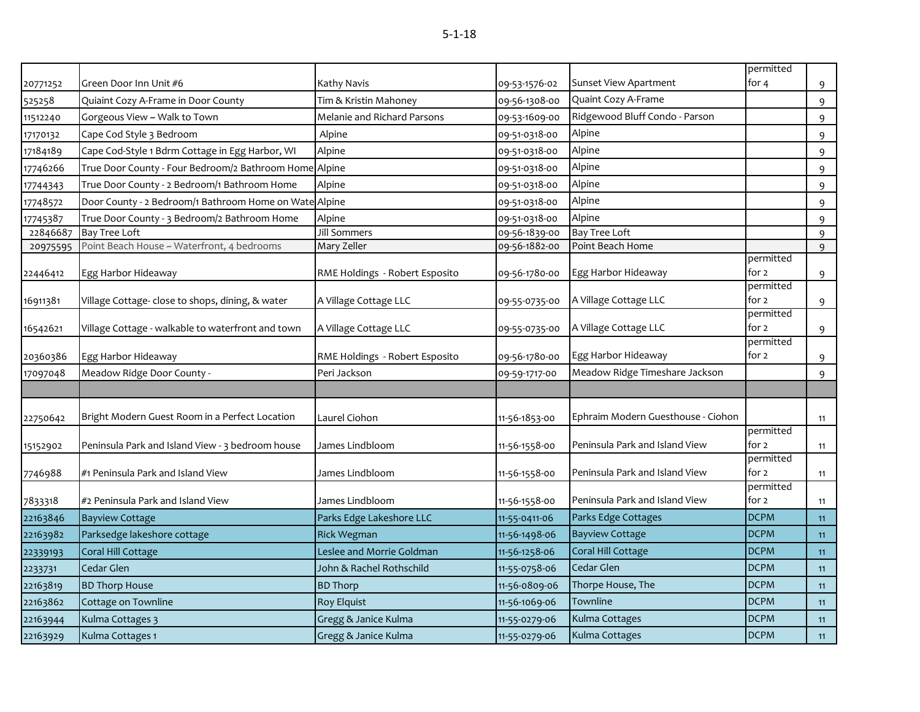|          |                                                        |                                |               |                                    | permitted          |    |
|----------|--------------------------------------------------------|--------------------------------|---------------|------------------------------------|--------------------|----|
| 20771252 | Green Door Inn Unit #6                                 | Kathy Navis                    | 09-53-1576-02 | Sunset View Apartment              | for 4              | 9  |
| 525258   | Quiaint Cozy A-Frame in Door County                    | Tim & Kristin Mahoney          | 09-56-1308-00 | Quaint Cozy A-Frame                |                    | 9  |
| 11512240 | Gorgeous View ~ Walk to Town                           | Melanie and Richard Parsons    | 09-53-1609-00 | Ridgewood Bluff Condo - Parson     |                    | 9  |
| 17170132 | Cape Cod Style 3 Bedroom                               | Alpine                         | 09-51-0318-00 | Alpine                             |                    | 9  |
| 17184189 | Cape Cod-Style 1 Bdrm Cottage in Egg Harbor, WI        | Alpine                         | 09-51-0318-00 | Alpine                             |                    | 9  |
| 17746266 | True Door County - Four Bedroom/2 Bathroom Home Alpine |                                | 09-51-0318-00 | Alpine                             |                    | 9  |
| 17744343 | True Door County - 2 Bedroom/1 Bathroom Home           | Alpine                         | 09-51-0318-00 | Alpine                             |                    | 9  |
| 17748572 | Door County - 2 Bedroom/1 Bathroom Home on Wate Alpine |                                | 09-51-0318-00 | Alpine                             |                    | 9  |
| 17745387 | True Door County - 3 Bedroom/2 Bathroom Home           | Alpine                         | 09-51-0318-00 | Alpine                             |                    | 9  |
| 22846687 | <b>Bay Tree Loft</b>                                   | Jill Sommers                   | 09-56-1839-00 | <b>Bay Tree Loft</b>               |                    | 9  |
| 20975595 | Point Beach House ~ Waterfront, 4 bedrooms             | Mary Zeller                    | 09-56-1882-00 | Point Beach Home                   |                    | 9  |
| 22446412 | Egg Harbor Hideaway                                    | RME Holdings - Robert Esposito | 09-56-1780-00 | Egg Harbor Hideaway                | permitted<br>for 2 | 9  |
|          |                                                        |                                |               |                                    | permitted          |    |
| 16911381 | Village Cottage- close to shops, dining, & water       | A Village Cottage LLC          | 09-55-0735-00 | A Village Cottage LLC              | for 2              | 9  |
|          |                                                        |                                |               |                                    | permitted          |    |
| 16542621 | Village Cottage - walkable to waterfront and town      | A Village Cottage LLC          | 09-55-0735-00 | A Village Cottage LLC              | for 2              | 9  |
|          |                                                        |                                |               |                                    | permitted          |    |
| 20360386 | Egg Harbor Hideaway                                    | RME Holdings - Robert Esposito | 09-56-1780-00 | Egg Harbor Hideaway                | for $2$            | 9  |
| 17097048 | Meadow Ridge Door County -                             | Peri Jackson                   | 09-59-1717-00 | Meadow Ridge Timeshare Jackson     |                    | 9  |
|          |                                                        |                                |               |                                    |                    |    |
| 22750642 | Bright Modern Guest Room in a Perfect Location         | Laurel Ciohon                  | 11-56-1853-00 | Ephraim Modern Guesthouse - Ciohon |                    | 11 |
|          |                                                        |                                |               |                                    | permitted          |    |
| 15152902 | Peninsula Park and Island View - 3 bedroom house       | James Lindbloom                | 11-56-1558-00 | Peninsula Park and Island View     | for 2              | 11 |
| 7746988  | #1 Peninsula Park and Island View                      | James Lindbloom                | 11-56-1558-00 | Peninsula Park and Island View     | permitted<br>for 2 | 11 |
|          |                                                        |                                |               |                                    | permitted          |    |
| 7833318  | #2 Peninsula Park and Island View                      | James Lindbloom                | 11-56-1558-00 | Peninsula Park and Island View     | for 2              | 11 |
| 22163846 | <b>Bayview Cottage</b>                                 | Parks Edge Lakeshore LLC       | 11-55-0411-06 | Parks Edge Cottages                | <b>DCPM</b>        | 11 |
| 22163982 | Parksedge lakeshore cottage                            | <b>Rick Wegman</b>             | 11-56-1498-06 | <b>Bayview Cottage</b>             | <b>DCPM</b>        | 11 |
| 22339193 | Coral Hill Cottage                                     | Leslee and Morrie Goldman      | 11-56-1258-06 | Coral Hill Cottage                 | <b>DCPM</b>        | 11 |
| 2233731  | Cedar Glen                                             | John & Rachel Rothschild       | 11-55-0758-06 | Cedar Glen                         | <b>DCPM</b>        | 11 |
| 22163819 | <b>BD Thorp House</b>                                  | <b>BD</b> Thorp                | 11-56-0809-06 | Thorpe House, The                  | <b>DCPM</b>        | 11 |
| 22163862 | Cottage on Townline                                    | <b>Roy Elquist</b>             | 11-56-1069-06 | Townline                           | <b>DCPM</b>        | 11 |
| 22163944 | Kulma Cottages 3                                       | Gregg & Janice Kulma           | 11-55-0279-06 | Kulma Cottages                     | <b>DCPM</b>        | 11 |
| 22163929 | Kulma Cottages 1                                       | Gregg & Janice Kulma           | 11-55-0279-06 | Kulma Cottages                     | <b>DCPM</b>        | 11 |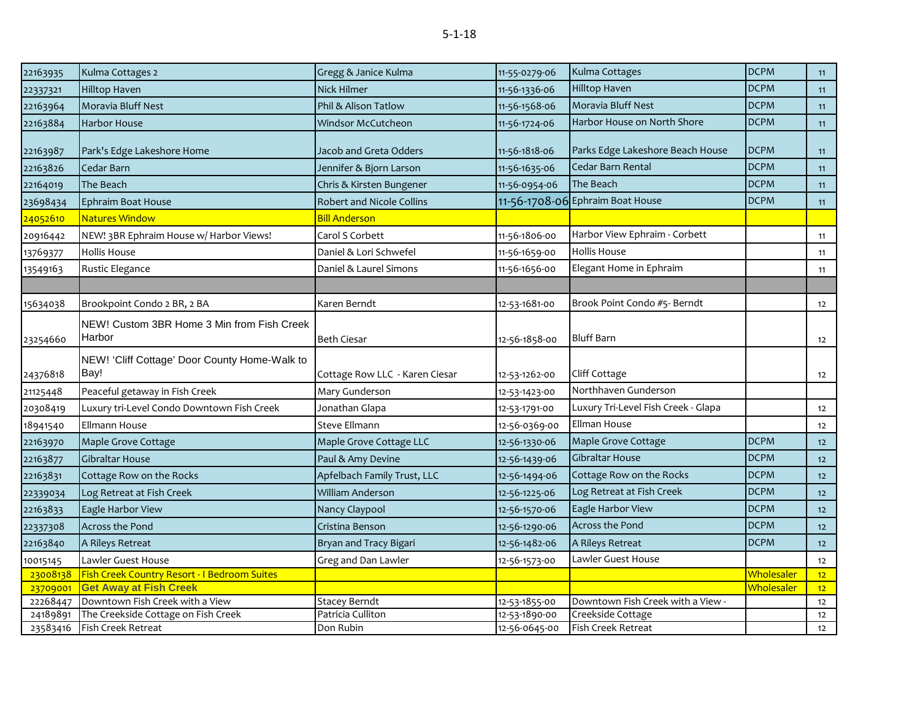| 22163935              | Kulma Cottages 2                                      | Gregg & Janice Kulma             | 11-55-0279-06 | Kulma Cottages                      | <b>DCPM</b> | 11              |
|-----------------------|-------------------------------------------------------|----------------------------------|---------------|-------------------------------------|-------------|-----------------|
| 22337321              | Hilltop Haven                                         | Nick Hilmer                      | 11-56-1336-06 | Hilltop Haven                       | <b>DCPM</b> | 11              |
| 22163964              | Moravia Bluff Nest                                    | Phil & Alison Tatlow             | 11-56-1568-06 | Moravia Bluff Nest                  | <b>DCPM</b> | 11              |
| 22163884              | Harbor House                                          | Windsor McCutcheon               | 11-56-1724-06 | Harbor House on North Shore         | <b>DCPM</b> | 11              |
| 22163987              | Park's Edge Lakeshore Home                            | Jacob and Greta Odders           | 11-56-1818-06 | Parks Edge Lakeshore Beach House    | <b>DCPM</b> | 11              |
| 22163826              | Cedar Barn                                            | Jennifer & Bjorn Larson          | 11-56-1635-06 | Cedar Barn Rental                   | <b>DCPM</b> | 11              |
| 22164019              | The Beach                                             | Chris & Kirsten Bungener         | 11-56-0954-06 | The Beach                           | <b>DCPM</b> | 11              |
| 23698434              | Ephraim Boat House                                    | <b>Robert and Nicole Collins</b> |               | 11-56-1708-06 Ephraim Boat House    | <b>DCPM</b> | 11              |
| <mark>24052610</mark> | Natures Window                                        | <b>Bill Anderson</b>             |               |                                     |             |                 |
| 20916442              | NEW! 3BR Ephraim House w/ Harbor Views!               | Carol S Corbett                  | 11-56-1806-00 | Harbor View Ephraim - Corbett       |             | 11              |
| 13769377              | <b>Hollis House</b>                                   | Daniel & Lori Schwefel           | 11-56-1659-00 | Hollis House                        |             | 11              |
| 13549163              | Rustic Elegance                                       | Daniel & Laurel Simons           | 11-56-1656-00 | Elegant Home in Ephraim             |             | 11              |
|                       |                                                       |                                  |               |                                     |             |                 |
| 15634038              | Brookpoint Condo 2 BR, 2 BA                           | Karen Berndt                     | 12-53-1681-00 | Brook Point Condo #5- Berndt        |             | 12              |
| 23254660              | NEW! Custom 3BR Home 3 Min from Fish Creek<br>Harbor  | <b>Beth Ciesar</b>               | 12-56-1858-00 | <b>Bluff Barn</b>                   |             | 12              |
| 24376818              | NEW! 'Cliff Cottage' Door County Home-Walk to<br>Bay! | Cottage Row LLC - Karen Ciesar   | 12-53-1262-00 | <b>Cliff Cottage</b>                |             | 12              |
| 21125448              | Peaceful getaway in Fish Creek                        | Mary Gunderson                   | 12-53-1423-00 | Northhaven Gunderson                |             |                 |
| 20308419              | Luxury tri-Level Condo Downtown Fish Creek            | Jonathan Glapa                   | 12-53-1791-00 | Luxury Tri-Level Fish Creek - Glapa |             | 12              |
| 18941540              | Ellmann House                                         | Steve Ellmann                    | 12-56-0369-00 | Ellman House                        |             | 12              |
| 22163970              | Maple Grove Cottage                                   | Maple Grove Cottage LLC          | 12-56-1330-06 | Maple Grove Cottage                 | <b>DCPM</b> | 12 <sup>2</sup> |
| 22163877              | Gibraltar House                                       | Paul & Amy Devine                | 12-56-1439-06 | <b>Gibraltar House</b>              | <b>DCPM</b> | 12              |
| 22163831              | Cottage Row on the Rocks                              | Apfelbach Family Trust, LLC      | 12-56-1494-06 | Cottage Row on the Rocks            | <b>DCPM</b> | 12              |
| 22339034              | Log Retreat at Fish Creek                             | William Anderson                 | 12-56-1225-06 | Log Retreat at Fish Creek           | <b>DCPM</b> | 12              |
| 22163833              | Eagle Harbor View                                     | Nancy Claypool                   | 12-56-1570-06 | Eagle Harbor View                   | <b>DCPM</b> | 12              |
| 22337308              | Across the Pond                                       | Cristina Benson                  | 12-56-1290-06 | <b>Across the Pond</b>              | <b>DCPM</b> | 12              |
| 22163840              | A Rileys Retreat                                      | Bryan and Tracy Bigari           | 12-56-1482-06 | A Rileys Retreat                    | <b>DCPM</b> | 12              |
| 10015145              | Lawler Guest House                                    | Greg and Dan Lawler              | 12-56-1573-00 | Lawler Guest House                  |             | 12              |
| 23008138              | Fish Creek Country Resort - I Bedroom Suites          |                                  |               |                                     | Wholesaler  | 12 <sup>2</sup> |
| 23709001              | <b>Get Away at Fish Creek</b>                         |                                  |               |                                     | Wholesaler  | 12              |
| 22268447              | Downtown Fish Creek with a View                       | <b>Stacey Berndt</b>             | 12-53-1855-00 | Downtown Fish Creek with a View -   |             | 12              |
| 24189891              | The Creekside Cottage on Fish Creek                   | Patricia Culliton                | 12-53-1890-00 | Creekside Cottage                   |             | 12              |
| 23583416              | Fish Creek Retreat                                    | Don Rubin                        | 12-56-0645-00 | Fish Creek Retreat                  |             | 12              |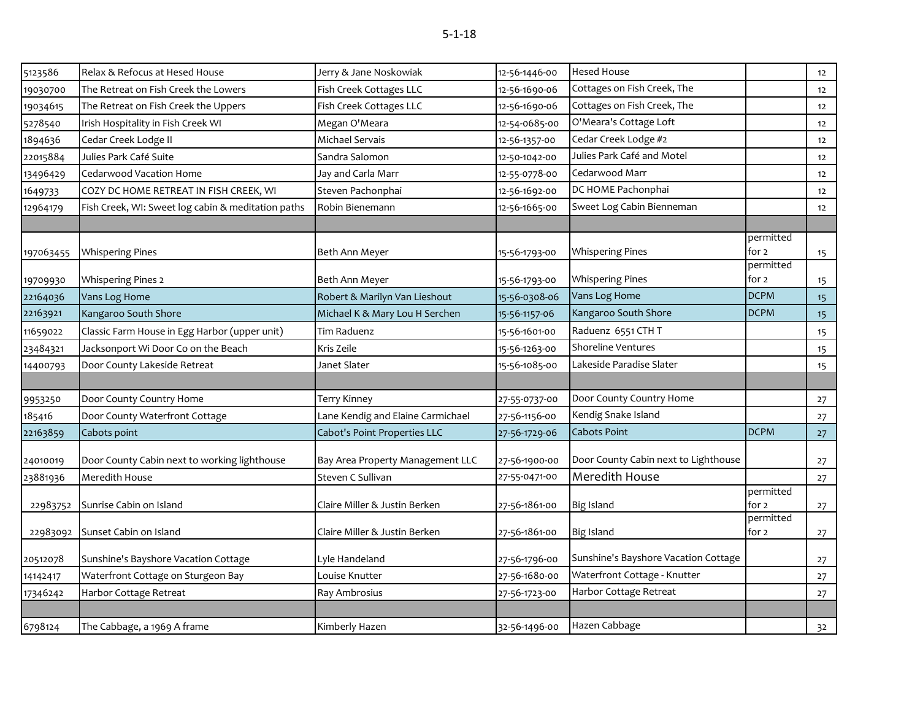| 5123586   | Relax & Refocus at Hesed House                     | Jerry & Jane Noskowiak            | 12-56-1446-00 | <b>Hesed House</b>                   |                    | 12             |
|-----------|----------------------------------------------------|-----------------------------------|---------------|--------------------------------------|--------------------|----------------|
| 19030700  | The Retreat on Fish Creek the Lowers               | Fish Creek Cottages LLC           | 12-56-1690-06 | Cottages on Fish Creek, The          |                    | 12             |
| 19034615  | The Retreat on Fish Creek the Uppers               | Fish Creek Cottages LLC           | 12-56-1690-06 | Cottages on Fish Creek, The          |                    | 12             |
| 5278540   | Irish Hospitality in Fish Creek WI                 | Megan O'Meara                     | 12-54-0685-00 | O'Meara's Cottage Loft               |                    | 12             |
| 1894636   | Cedar Creek Lodge II                               | Michael Servais                   | 12-56-1357-00 | Cedar Creek Lodge #2                 |                    | 12             |
| 22015884  | Julies Park Café Suite                             | Sandra Salomon                    | 12-50-1042-00 | Julies Park Café and Motel           |                    | 12             |
| 13496429  | Cedarwood Vacation Home                            | Jay and Carla Marr                | 12-55-0778-00 | Cedarwood Marr                       |                    | 12             |
| 1649733   | COZY DC HOME RETREAT IN FISH CREEK, WI             | Steven Pachonphai                 | 12-56-1692-00 | DC HOME Pachonphai                   |                    | 12             |
| 12964179  | Fish Creek, WI: Sweet log cabin & meditation paths | Robin Bienemann                   | 12-56-1665-00 | Sweet Log Cabin Bienneman            |                    | 12             |
|           |                                                    |                                   |               |                                      |                    |                |
|           |                                                    |                                   |               |                                      | permitted          |                |
| 197063455 | <b>Whispering Pines</b>                            | Beth Ann Meyer                    | 15-56-1793-00 | <b>Whispering Pines</b>              | for 2<br>permitted | 15             |
| 19709930  | <b>Whispering Pines 2</b>                          | Beth Ann Meyer                    | 15-56-1793-00 | <b>Whispering Pines</b>              | for 2              | 15             |
| 22164036  | Vans Log Home                                      | Robert & Marilyn Van Lieshout     | 15-56-0308-06 | Vans Log Home                        | <b>DCPM</b>        | 15             |
| 22163921  | Kangaroo South Shore                               | Michael K & Mary Lou H Serchen    | 15-56-1157-06 | Kangaroo South Shore                 | <b>DCPM</b>        | 15             |
| 11659022  | Classic Farm House in Egg Harbor (upper unit)      | Tim Raduenz                       | 15-56-1601-00 | Raduenz 6551 CTH T                   |                    | 15             |
| 23484321  | Jacksonport Wi Door Co on the Beach                | Kris Zeile                        | 15-56-1263-00 | Shoreline Ventures                   |                    | 15             |
| 14400793  | Door County Lakeside Retreat                       | Janet Slater                      | 15-56-1085-00 | Lakeside Paradise Slater             |                    | 15             |
|           |                                                    |                                   |               |                                      |                    |                |
| 9953250   | Door County Country Home                           | <b>Terry Kinney</b>               | 27-55-0737-00 | Door County Country Home             |                    | 27             |
| 185416    | Door County Waterfront Cottage                     | Lane Kendig and Elaine Carmichael | 27-56-1156-00 | Kendig Snake Island                  |                    | 27             |
| 22163859  | Cabots point                                       | Cabot's Point Properties LLC      | 27-56-1729-06 | Cabots Point                         | <b>DCPM</b>        | 27             |
|           |                                                    |                                   |               | Door County Cabin next to Lighthouse |                    |                |
| 24010019  | Door County Cabin next to working lighthouse       | Bay Area Property Management LLC  | 27-56-1900-00 | Meredith House                       |                    | 27             |
| 23881936  | Meredith House                                     | Steven C Sullivan                 | 27-55-0471-00 |                                      | permitted          | 27             |
| 22983752  | Sunrise Cabin on Island                            | Claire Miller & Justin Berken     | 27-56-1861-00 | <b>Big Island</b>                    | for 2              | 27             |
|           |                                                    |                                   |               |                                      | permitted          |                |
| 22983092  | Sunset Cabin on Island                             | Claire Miller & Justin Berken     | 27-56-1861-00 | <b>Big Island</b>                    | for 2              | 27             |
| 20512078  | Sunshine's Bayshore Vacation Cottage               | Lyle Handeland                    | 27-56-1796-00 | Sunshine's Bayshore Vacation Cottage |                    | 27             |
| 14142417  | Waterfront Cottage on Sturgeon Bay                 | Louise Knutter                    | 27-56-1680-00 | Waterfront Cottage - Knutter         |                    | 27             |
| 17346242  | Harbor Cottage Retreat                             | Ray Ambrosius                     | 27-56-1723-00 | Harbor Cottage Retreat               |                    | 27             |
|           |                                                    |                                   |               |                                      |                    |                |
| 6798124   | The Cabbage, a 1969 A frame                        | Kimberly Hazen                    | 32-56-1496-00 | Hazen Cabbage                        |                    | 3 <sup>2</sup> |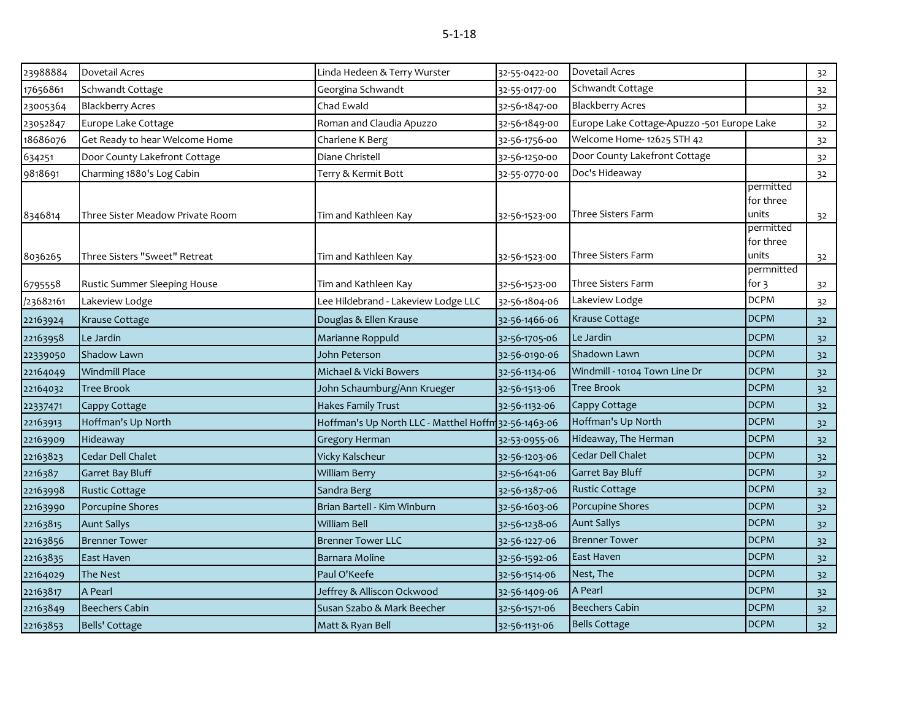| 23988884 | <b>Dovetail Acres</b>            | Linda Hedeen & Terry Wurster                         | 32-55-0422-00 | Dovetail Acres                              |                                               | 32             |
|----------|----------------------------------|------------------------------------------------------|---------------|---------------------------------------------|-----------------------------------------------|----------------|
| 17656861 | Schwandt Cottage                 | Georgina Schwandt                                    | 32-55-0177-00 | Schwandt Cottage                            |                                               | 32             |
| 23005364 | <b>Blackberry Acres</b>          | Chad Ewald                                           | 32-56-1847-00 | <b>Blackberry Acres</b>                     |                                               | 32             |
| 23052847 | Europe Lake Cottage              | Roman and Claudia Apuzzo                             | 32-56-1849-00 | Europe Lake Cottage-Apuzzo -501 Europe Lake |                                               | 32             |
| 18686076 | Get Ready to hear Welcome Home   | Charlene K Berg                                      | 32-56-1756-00 | Welcome Home- 12625 STH 42                  |                                               | 32             |
| 634251   | Door County Lakefront Cottage    | Diane Christell                                      | 32-56-1250-00 | Door County Lakefront Cottage               |                                               | 32             |
| 9818691  | Charming 1880's Log Cabin        | Terry & Kermit Bott                                  | 32-55-0770-00 | Doc's Hideaway                              |                                               | 32             |
| 8346814  | Three Sister Meadow Private Room | Tim and Kathleen Kay                                 | 32-56-1523-00 | Three Sisters Farm                          | permitted<br>for three<br>units               | 3 <sup>2</sup> |
| 8036265  | Three Sisters "Sweet" Retreat    | Tim and Kathleen Kay                                 | 32-56-1523-00 | Three Sisters Farm                          | permitted<br>for three<br>units<br>permnitted | 32             |
| 6795558  | Rustic Summer Sleeping House     | Tim and Kathleen Kay                                 | 32-56-1523-00 | <b>Three Sisters Farm</b>                   | for 3                                         | 32             |
| 23682161 | Lakeview Lodge                   | Lee Hildebrand - Lakeview Lodge LLC                  | 32-56-1804-06 | Lakeview Lodge                              | <b>DCPM</b>                                   | 32             |
| 22163924 | <b>Krause Cottage</b>            | Douglas & Ellen Krause                               | 32-56-1466-06 | Krause Cottage                              | <b>DCPM</b>                                   | 32             |
| 22163958 | Le Jardin                        | Marianne Roppuld                                     | 32-56-1705-06 | Le Jardin                                   | <b>DCPM</b>                                   | 32             |
| 22339050 | <b>Shadow Lawn</b>               | John Peterson                                        | 32-56-0190-06 | Shadown Lawn                                | <b>DCPM</b>                                   | 32             |
| 22164049 | <b>Windmill Place</b>            | Michael & Vicki Bowers                               | 32-56-1134-06 | Windmill - 10104 Town Line Dr               | <b>DCPM</b>                                   | 32             |
| 22164032 | <b>Tree Brook</b>                | John Schaumburg/Ann Krueger                          | 32-56-1513-06 | <b>Tree Brook</b>                           | <b>DCPM</b>                                   | 32             |
| 22337471 | Cappy Cottage                    | Hakes Family Trust                                   | 32-56-1132-06 | Cappy Cottage                               | <b>DCPM</b>                                   | 32             |
| 22163913 | Hoffman's Up North               | Hoffman's Up North LLC - Matthel Hoffm 32-56-1463-06 |               | Hoffman's Up North                          | <b>DCPM</b>                                   | 32             |
| 22163909 | Hideaway                         | <b>Gregory Herman</b>                                | 32-53-0955-06 | Hideaway, The Herman                        | <b>DCPM</b>                                   | 32             |
| 22163823 | Cedar Dell Chalet                | Vicky Kalscheur                                      | 32-56-1203-06 | Cedar Dell Chalet                           | <b>DCPM</b>                                   | 32             |
| 2216387  | Garret Bay Bluff                 | <b>William Berry</b>                                 | 32-56-1641-06 | <b>Garret Bay Bluff</b>                     | <b>DCPM</b>                                   | 32             |
| 22163998 | <b>Rustic Cottage</b>            | Sandra Berg                                          | 32-56-1387-06 | <b>Rustic Cottage</b>                       | <b>DCPM</b>                                   | 32             |
| 22163990 | Porcupine Shores                 | Brian Bartell - Kim Winburn                          | 32-56-1603-06 | Porcupine Shores                            | <b>DCPM</b>                                   | 32             |
| 22163815 | <b>Aunt Sallys</b>               | <b>William Bell</b>                                  | 32-56-1238-06 | <b>Aunt Sallys</b>                          | <b>DCPM</b>                                   | 32             |
| 22163856 | <b>Brenner Tower</b>             | <b>Brenner Tower LLC</b>                             | 32-56-1227-06 | <b>Brenner Tower</b>                        | <b>DCPM</b>                                   | 32             |
| 22163835 | East Haven                       | Barnara Moline                                       | 32-56-1592-06 | East Haven                                  | <b>DCPM</b>                                   | 32             |
| 22164029 | The Nest                         | Paul O'Keefe                                         | 32-56-1514-06 | Nest, The                                   | <b>DCPM</b>                                   | 32             |
| 22163817 | A Pearl                          | Jeffrey & Alliscon Ockwood                           | 32-56-1409-06 | A Pearl                                     | <b>DCPM</b>                                   | 32             |
| 22163849 | <b>Beechers Cabin</b>            | Susan Szabo & Mark Beecher                           | 32-56-1571-06 | <b>Beechers Cabin</b>                       | <b>DCPM</b>                                   | 32             |
| 22163853 | Bells' Cottage                   | Matt & Ryan Bell                                     | 32-56-1131-06 | <b>Bells Cottage</b>                        | <b>DCPM</b>                                   | 32             |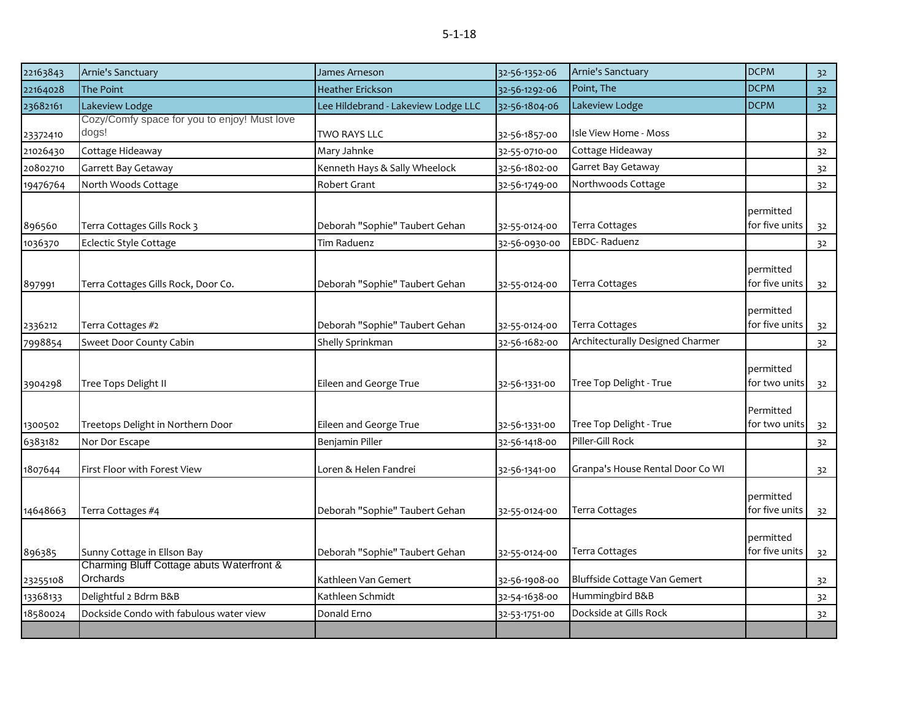| 22163843           | Arnie's Sanctuary                                     | James Arneson                             | 32-56-1352-06                  | Arnie's Sanctuary                           | <b>DCPM</b>                 | 3 <sup>2</sup>       |
|--------------------|-------------------------------------------------------|-------------------------------------------|--------------------------------|---------------------------------------------|-----------------------------|----------------------|
| 22164028           | The Point                                             | <b>Heather Erickson</b>                   | 32-56-1292-06                  | Point, The                                  | <b>DCPM</b>                 | 32                   |
| 23682161           | Lakeview Lodge                                        | Lee Hildebrand - Lakeview Lodge LLC       | 32-56-1804-06                  | Lakeview Lodge                              | <b>DCPM</b>                 | 32 <sup>°</sup>      |
| 23372410           | Cozy/Comfy space for you to enjoy! Must love<br>dogs! | TWO RAYS LLC                              | 32-56-1857-00                  | Isle View Home - Moss                       |                             | 32                   |
| 21026430           | Cottage Hideaway                                      | Mary Jahnke                               | 32-55-0710-00                  | Cottage Hideaway                            |                             | 32                   |
| 20802710           | Garrett Bay Getaway                                   | Kenneth Hays & Sally Wheelock             | 32-56-1802-00                  | Garret Bay Getaway                          |                             | 32                   |
| 19476764           | North Woods Cottage                                   | Robert Grant                              | 32-56-1749-00                  | Northwoods Cottage                          |                             | 32                   |
| 896560             | Terra Cottages Gills Rock 3                           | Deborah "Sophie" Taubert Gehan            | 32-55-0124-00                  | Terra Cottages                              | permitted<br>for five units | 3 <sup>2</sup>       |
| 1036370            | Eclectic Style Cottage                                | <b>Tim Raduenz</b>                        | 32-56-0930-00                  | <b>EBDC-Raduenz</b>                         |                             | 32                   |
| 897991             | Terra Cottages Gills Rock, Door Co.                   | Deborah "Sophie" Taubert Gehan            | 32-55-0124-00                  | Terra Cottages                              | permitted<br>for five units | 32                   |
| 2336212            | Terra Cottages #2                                     | Deborah "Sophie" Taubert Gehan            | 32-55-0124-00                  | Terra Cottages                              | permitted<br>for five units | 32                   |
| 7998854            | Sweet Door County Cabin                               | Shelly Sprinkman                          | 32-56-1682-00                  | Architecturally Designed Charmer            |                             | 32                   |
| 3904298            | Tree Tops Delight II                                  | Eileen and George True                    | 32-56-1331-00                  | Tree Top Delight - True                     | permitted<br>for two units  | 32                   |
| 1300502<br>6383182 | Treetops Delight in Northern Door<br>Nor Dor Escape   | Eileen and George True<br>Benjamin Piller | 32-56-1331-00<br>32-56-1418-00 | Tree Top Delight - True<br>Piller-Gill Rock | Permitted<br>for two units  | 3 <sup>2</sup><br>32 |
| 1807644            | First Floor with Forest View                          | Loren & Helen Fandrei                     | 32-56-1341-00                  | Granpa's House Rental Door Co WI            |                             | 32                   |
| 14648663           | Terra Cottages #4                                     | Deborah "Sophie" Taubert Gehan            | 32-55-0124-00                  | Terra Cottages                              | permitted<br>for five units | 32                   |
| 896385             | Sunny Cottage in Ellson Bay                           | Deborah "Sophie" Taubert Gehan            | 32-55-0124-00                  | Terra Cottages                              | permitted<br>for five units | 32                   |
| 23255108           | Charming Bluff Cottage abuts Waterfront &<br>Orchards | Kathleen Van Gemert                       | 32-56-1908-00                  | Bluffside Cottage Van Gemert                |                             | 32                   |
| 13368133           | Delightful 2 Bdrm B&B                                 | Kathleen Schmidt                          | 32-54-1638-00                  | Hummingbird B&B                             |                             | 3 <sup>2</sup>       |
| 18580024           | Dockside Condo with fabulous water view               | Donald Erno                               | 32-53-1751-00                  | Dockside at Gills Rock                      |                             | 32                   |
|                    |                                                       |                                           |                                |                                             |                             |                      |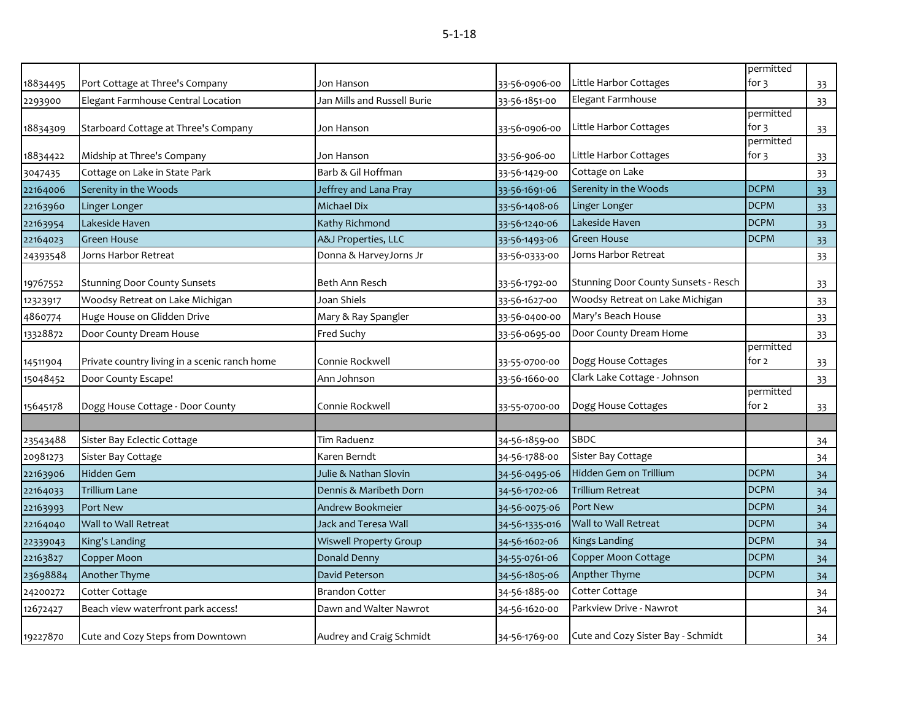| ×<br>I |  | ×<br>۰. |
|--------|--|---------|
|        |  |         |

| 18834495 | Port Cottage at Three's Company               | Jon Hanson                    | 33-56-0906-00  | Little Harbor Cottages               | permitted<br>for 3 | 33 |
|----------|-----------------------------------------------|-------------------------------|----------------|--------------------------------------|--------------------|----|
| 2293900  | Elegant Farmhouse Central Location            | Jan Mills and Russell Burie   | 33-56-1851-00  | Elegant Farmhouse                    |                    | 33 |
|          |                                               |                               |                |                                      | permitted          |    |
| 18834309 | Starboard Cottage at Three's Company          | Jon Hanson                    | 33-56-0906-00  | Little Harbor Cottages               | for 3              | 33 |
| 18834422 | Midship at Three's Company                    | Jon Hanson                    | 33-56-906-00   | Little Harbor Cottages               | permitted<br>for 3 | 33 |
| 3047435  | Cottage on Lake in State Park                 | Barb & Gil Hoffman            | 33-56-1429-00  | Cottage on Lake                      |                    | 33 |
| 22164006 | Serenity in the Woods                         | Jeffrey and Lana Pray         | 33-56-1691-06  | Serenity in the Woods                | <b>DCPM</b>        | 33 |
| 22163960 | Linger Longer                                 | Michael Dix                   | 33-56-1408-06  | Linger Longer                        | <b>DCPM</b>        | 33 |
| 22163954 | Lakeside Haven                                | Kathy Richmond                | 33-56-1240-06  | Lakeside Haven                       | <b>DCPM</b>        | 33 |
| 22164023 | <b>Green House</b>                            | A&J Properties, LLC           | 33-56-1493-06  | <b>Green House</b>                   | <b>DCPM</b>        | 33 |
| 24393548 | Jorns Harbor Retreat                          | Donna & HarveyJorns Jr        | 33-56-0333-00  | Jorns Harbor Retreat                 |                    | 33 |
| 19767552 | <b>Stunning Door County Sunsets</b>           | Beth Ann Resch                | 33-56-1792-00  | Stunning Door County Sunsets - Resch |                    | 33 |
| 12323917 | Woodsy Retreat on Lake Michigan               | Joan Shiels                   | 33-56-1627-00  | Woodsy Retreat on Lake Michigan      |                    | 33 |
| 4860774  | Huge House on Glidden Drive                   | Mary & Ray Spangler           | 33-56-0400-00  | Mary's Beach House                   |                    | 33 |
| 13328872 | Door County Dream House                       | Fred Suchy                    | 33-56-0695-00  | Door County Dream Home               |                    | 33 |
|          |                                               |                               |                |                                      | permitted          |    |
| 14511904 | Private country living in a scenic ranch home | Connie Rockwell               | 33-55-0700-00  | Dogg House Cottages                  | for 2              | 33 |
| 15048452 | Door County Escape!                           | Ann Johnson                   | 33-56-1660-00  | Clark Lake Cottage - Johnson         |                    | 33 |
|          |                                               |                               |                |                                      | permitted          |    |
| 15645178 | Dogg House Cottage - Door County              | Connie Rockwell               | 33-55-0700-00  | Dogg House Cottages                  | for 2              | 33 |
|          |                                               |                               |                | SBDC                                 |                    |    |
| 23543488 | Sister Bay Eclectic Cottage                   | Tim Raduenz                   | 34-56-1859-00  |                                      |                    | 34 |
| 20981273 | Sister Bay Cottage                            | Karen Berndt                  | 34-56-1788-00  | Sister Bay Cottage                   |                    | 34 |
| 22163906 | <b>Hidden Gem</b>                             | Julie & Nathan Slovin         | 34-56-0495-06  | Hidden Gem on Trillium               | <b>DCPM</b>        | 34 |
| 22164033 | <b>Trillium Lane</b>                          | Dennis & Maribeth Dorn        | 34-56-1702-06  | Trillium Retreat                     | <b>DCPM</b>        | 34 |
| 22163993 | <b>Port New</b>                               | Andrew Bookmeier              | 34-56-0075-06  | Port New                             | <b>DCPM</b>        | 34 |
| 22164040 | Wall to Wall Retreat                          | <b>Jack and Teresa Wall</b>   | 34-56-1335-016 | Wall to Wall Retreat                 | <b>DCPM</b>        | 34 |
| 22339043 | King's Landing                                | <b>Wiswell Property Group</b> | 34-56-1602-06  | <b>Kings Landing</b>                 | <b>DCPM</b>        | 34 |
| 22163827 | Copper Moon                                   | Donald Denny                  | 34-55-0761-06  | Copper Moon Cottage                  | <b>DCPM</b>        | 34 |
| 23698884 | Another Thyme                                 | David Peterson                | 34-56-1805-06  | Anpther Thyme                        | <b>DCPM</b>        | 34 |
| 24200272 | Cotter Cottage                                | <b>Brandon Cotter</b>         | 34-56-1885-00  | Cotter Cottage                       |                    | 34 |
| 12672427 | Beach view waterfront park access!            | Dawn and Walter Nawrot        | 34-56-1620-00  | Parkview Drive - Nawrot              |                    | 34 |
| 19227870 | Cute and Cozy Steps from Downtown             | Audrey and Craig Schmidt      | 34-56-1769-00  | Cute and Cozy Sister Bay - Schmidt   |                    | 34 |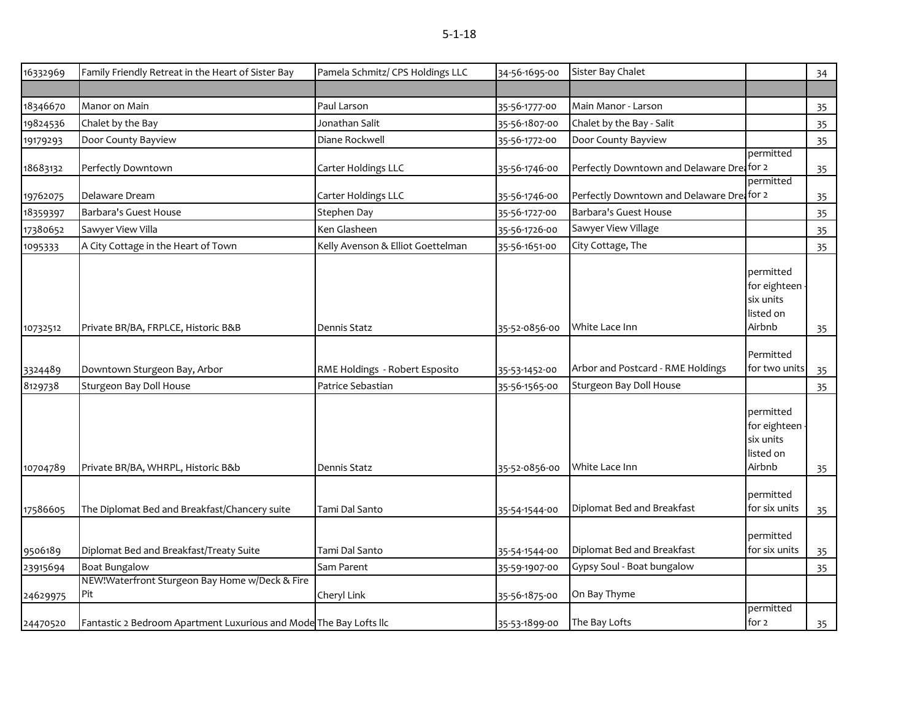| ×<br>I |  | ×<br>۰. |
|--------|--|---------|
|        |  |         |

| 16332969 | Family Friendly Retreat in the Heart of Sister Bay                 | Pamela Schmitz/ CPS Holdings LLC  | 34-56-1695-00 | Sister Bay Chalet                          |                                                                 | 34 |
|----------|--------------------------------------------------------------------|-----------------------------------|---------------|--------------------------------------------|-----------------------------------------------------------------|----|
|          |                                                                    |                                   |               |                                            |                                                                 |    |
| 18346670 | Manor on Main                                                      | Paul Larson                       | 35-56-1777-00 | Main Manor - Larson                        |                                                                 | 35 |
| 19824536 | Chalet by the Bay                                                  | Jonathan Salit                    | 35-56-1807-00 | Chalet by the Bay - Salit                  |                                                                 | 35 |
| 19179293 | Door County Bayview                                                | Diane Rockwell                    | 35-56-1772-00 | Door County Bayview                        |                                                                 | 35 |
| 18683132 | Perfectly Downtown                                                 | Carter Holdings LLC               | 35-56-1746-00 | Perfectly Downtown and Delaware Dreafor 2  | permitted                                                       | 35 |
| 19762075 | Delaware Dream                                                     | Carter Holdings LLC               | 35-56-1746-00 | Perfectly Downtown and Delaware Drei for 2 | permitted                                                       | 35 |
| 18359397 | Barbara's Guest House                                              | Stephen Day                       | 35-56-1727-00 | <b>Barbara's Guest House</b>               |                                                                 | 35 |
| 17380652 | Sawyer View Villa                                                  | Ken Glasheen                      | 35-56-1726-00 | Sawyer View Village                        |                                                                 | 35 |
| 1095333  | A City Cottage in the Heart of Town                                | Kelly Avenson & Elliot Goettelman | 35-56-1651-00 | City Cottage, The                          |                                                                 | 35 |
| 10732512 | Private BR/BA, FRPLCE, Historic B&B                                | Dennis Statz                      | 35-52-0856-00 | White Lace Inn                             | permitted<br>for eighteen -<br>six units<br>listed on<br>Airbnb | 35 |
|          |                                                                    |                                   |               |                                            |                                                                 |    |
| 3324489  | Downtown Sturgeon Bay, Arbor                                       | RME Holdings - Robert Esposito    | 35-53-1452-00 | Arbor and Postcard - RME Holdings          | Permitted<br>for two units                                      | 35 |
| 8129738  | Sturgeon Bay Doll House                                            | Patrice Sebastian                 | 35-56-1565-00 | Sturgeon Bay Doll House                    |                                                                 | 35 |
| 10704789 | Private BR/BA, WHRPL, Historic B&b                                 | Dennis Statz                      | 35-52-0856-00 | White Lace Inn                             | permitted<br>for eighteen<br>six units<br>listed on<br>Airbnb   | 35 |
| 17586605 | The Diplomat Bed and Breakfast/Chancery suite                      | Tami Dal Santo                    | 35-54-1544-00 | Diplomat Bed and Breakfast                 | permitted<br>for six units                                      | 35 |
| 9506189  | Diplomat Bed and Breakfast/Treaty Suite                            | Tami Dal Santo                    | 35-54-1544-00 | Diplomat Bed and Breakfast                 | permitted<br>for six units                                      | 35 |
| 23915694 | <b>Boat Bungalow</b>                                               | Sam Parent                        | 35-59-1907-00 | Gypsy Soul - Boat bungalow                 |                                                                 | 35 |
| 24629975 | NEW!Waterfront Sturgeon Bay Home w/Deck & Fire<br>Pit              | Cheryl Link                       | 35-56-1875-00 | On Bay Thyme                               |                                                                 |    |
| 24470520 | Fantastic 2 Bedroom Apartment Luxurious and Mode The Bay Lofts IIc |                                   | 35-53-1899-00 | The Bay Lofts                              | permitted<br>for 2                                              | 35 |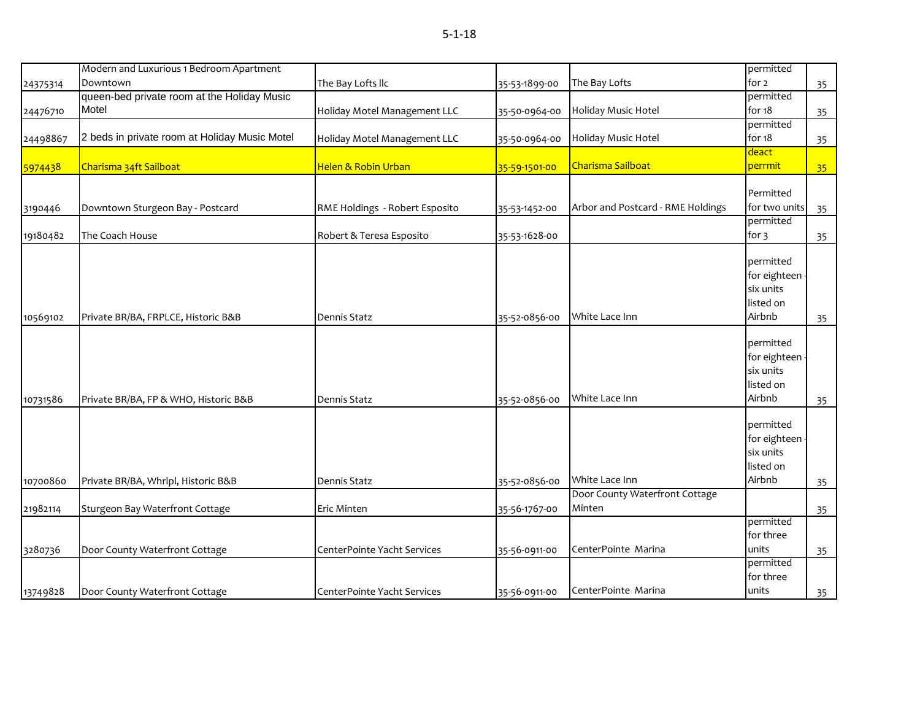|          | Modern and Luxurious 1 Bedroom Apartment      |                                |               |                                   | permitted         |    |
|----------|-----------------------------------------------|--------------------------------|---------------|-----------------------------------|-------------------|----|
| 24375314 | Downtown                                      | The Bay Lofts Ilc              | 35-53-1899-00 | The Bay Lofts                     | for 2             | 35 |
|          | queen-bed private room at the Holiday Music   |                                |               |                                   | permitted         |    |
| 24476710 | Motel                                         | Holiday Motel Management LLC   | 35-50-0964-00 | Holiday Music Hotel               | for 18            | 35 |
|          |                                               |                                |               |                                   | permitted         |    |
| 24498867 | 2 beds in private room at Holiday Music Motel | Holiday Motel Management LLC   | 35-50-0964-00 | Holiday Music Hotel               | for 18            | 35 |
|          |                                               |                                |               |                                   | deact             |    |
| 5974438  | Charisma 34ft Sailboat                        | Helen & Robin Urban            | 35-59-1501-00 | Charisma Sailboat                 | perrmit           | 35 |
|          |                                               |                                |               |                                   | Permitted         |    |
|          |                                               |                                |               |                                   |                   |    |
| 3190446  | Downtown Sturgeon Bay - Postcard              | RME Holdings - Robert Esposito | 35-53-1452-00 | Arbor and Postcard - RME Holdings | for two units     | 35 |
|          |                                               |                                |               |                                   | permitted         |    |
| 19180482 | The Coach House                               | Robert & Teresa Esposito       | 35-53-1628-00 |                                   | for $\mathfrak z$ | 35 |
|          |                                               |                                |               |                                   | permitted         |    |
|          |                                               |                                |               |                                   | for eighteen      |    |
|          |                                               |                                |               |                                   | six units         |    |
|          |                                               |                                |               |                                   | listed on         |    |
| 10569102 | Private BR/BA, FRPLCE, Historic B&B           | Dennis Statz                   | 35-52-0856-00 | White Lace Inn                    | Airbnb            | 35 |
|          |                                               |                                |               |                                   |                   |    |
|          |                                               |                                |               |                                   | permitted         |    |
|          |                                               |                                |               |                                   | for eighteen      |    |
|          |                                               |                                |               |                                   | six units         |    |
|          |                                               |                                |               |                                   | listed on         |    |
| 10731586 | Private BR/BA, FP & WHO, Historic B&B         | Dennis Statz                   | 35-52-0856-00 | White Lace Inn                    | Airbnb            | 35 |
|          |                                               |                                |               |                                   |                   |    |
|          |                                               |                                |               |                                   | permitted         |    |
|          |                                               |                                |               |                                   | for eighteen      |    |
|          |                                               |                                |               |                                   | six units         |    |
|          |                                               |                                |               |                                   | listed on         |    |
| 10700860 | Private BR/BA, Whrlpl, Historic B&B           | <b>Dennis Statz</b>            | 35-52-0856-00 | White Lace Inn                    | Airbnb            | 35 |
|          |                                               |                                |               | Door County Waterfront Cottage    |                   |    |
| 21982114 | Sturgeon Bay Waterfront Cottage               | Eric Minten                    | 35-56-1767-00 | Minten                            |                   | 35 |
|          |                                               |                                |               |                                   | permitted         |    |
|          |                                               |                                |               |                                   | for three         |    |
| 3280736  | Door County Waterfront Cottage                | CenterPointe Yacht Services    | 35-56-0911-00 | CenterPointe Marina               | units             | 35 |
|          |                                               |                                |               |                                   | permitted         |    |
|          |                                               |                                |               |                                   | for three         |    |
| 13749828 | Door County Waterfront Cottage                | CenterPointe Yacht Services    | 35-56-0911-00 | CenterPointe Marina               | units             | 35 |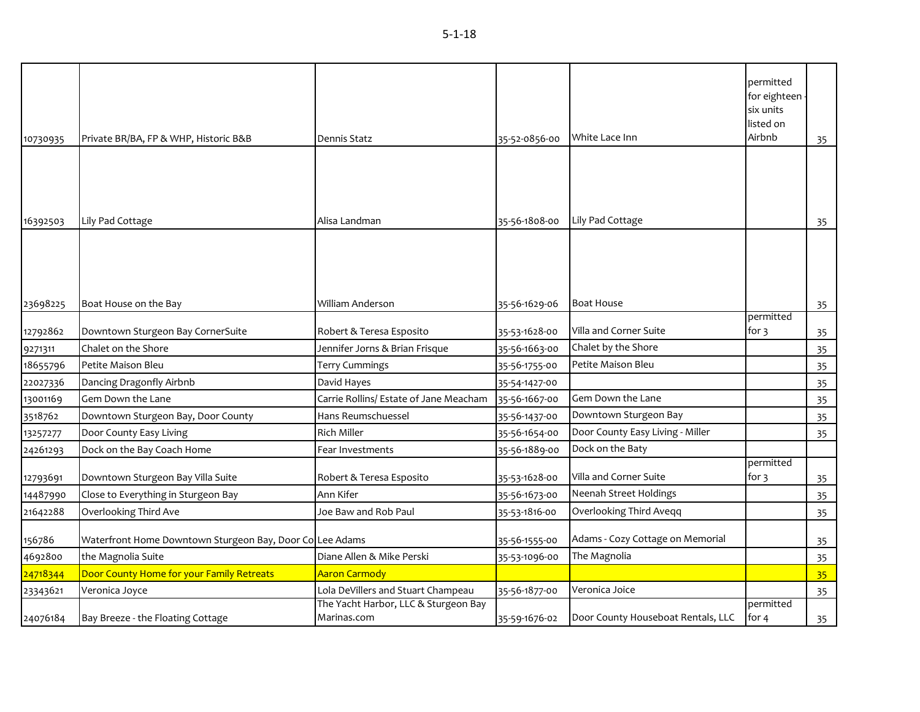| 10730935 | Private BR/BA, FP & WHP, Historic B&B                    | Dennis Statz                                        | 35-52-0856-00 | White Lace Inn                     | permitted<br>for eighteen -<br>six units<br>listed on<br>Airbnb | 35 |
|----------|----------------------------------------------------------|-----------------------------------------------------|---------------|------------------------------------|-----------------------------------------------------------------|----|
|          |                                                          |                                                     |               |                                    |                                                                 |    |
|          |                                                          |                                                     |               |                                    |                                                                 |    |
|          |                                                          |                                                     |               |                                    |                                                                 |    |
|          |                                                          |                                                     |               |                                    |                                                                 |    |
| 16392503 | Lily Pad Cottage                                         | Alisa Landman                                       | 35-56-1808-00 | Lily Pad Cottage                   |                                                                 | 35 |
|          |                                                          |                                                     |               |                                    |                                                                 |    |
|          |                                                          |                                                     |               |                                    |                                                                 |    |
|          |                                                          |                                                     |               |                                    |                                                                 |    |
|          |                                                          |                                                     |               |                                    |                                                                 |    |
| 23698225 | Boat House on the Bay                                    | William Anderson                                    | 35-56-1629-06 | <b>Boat House</b>                  | permitted                                                       | 35 |
| 12792862 | Downtown Sturgeon Bay CornerSuite                        | Robert & Teresa Esposito                            | 35-53-1628-00 | Villa and Corner Suite             | for $\frac{3}{5}$                                               | 35 |
| 9271311  | Chalet on the Shore                                      | Jennifer Jorns & Brian Frisque                      | 35-56-1663-00 | Chalet by the Shore                |                                                                 | 35 |
| 18655796 | Petite Maison Bleu                                       | Terry Cummings                                      | 35-56-1755-00 | Petite Maison Bleu                 |                                                                 | 35 |
| 22027336 | Dancing Dragonfly Airbnb                                 | David Hayes                                         | 35-54-1427-00 |                                    |                                                                 | 35 |
| 13001169 | Gem Down the Lane                                        | Carrie Rollins/ Estate of Jane Meacham              | 35-56-1667-00 | Gem Down the Lane                  |                                                                 | 35 |
| 3518762  | Downtown Sturgeon Bay, Door County                       | Hans Reumschuessel                                  | 35-56-1437-00 | Downtown Sturgeon Bay              |                                                                 | 35 |
| 13257277 | Door County Easy Living                                  | <b>Rich Miller</b>                                  | 35-56-1654-00 | Door County Easy Living - Miller   |                                                                 | 35 |
| 24261293 | Dock on the Bay Coach Home                               | Fear Investments                                    | 35-56-1889-00 | Dock on the Baty                   |                                                                 |    |
|          |                                                          |                                                     |               |                                    | permitted                                                       |    |
| 12793691 | Downtown Sturgeon Bay Villa Suite                        | Robert & Teresa Esposito                            | 35-53-1628-00 | Villa and Corner Suite             | for $\mathfrak z$                                               | 35 |
| 14487990 | Close to Everything in Sturgeon Bay                      | Ann Kifer                                           | 35-56-1673-00 | Neenah Street Holdings             |                                                                 | 35 |
| 21642288 | Overlooking Third Ave                                    | Joe Baw and Rob Paul                                | 35-53-1816-00 | Overlooking Third Aveqq            |                                                                 | 35 |
| 156786   | Waterfront Home Downtown Sturgeon Bay, Door ColLee Adams |                                                     | 35-56-1555-00 | Adams - Cozy Cottage on Memorial   |                                                                 | 35 |
| 4692800  | the Magnolia Suite                                       | Diane Allen & Mike Perski                           | 35-53-1096-00 | The Magnolia                       |                                                                 | 35 |
| 24718344 | Door County Home for your Family Retreats                | <b>Aaron Carmody</b>                                |               |                                    |                                                                 | 35 |
| 23343621 | Veronica Joyce                                           | Lola DeVillers and Stuart Champeau                  | 35-56-1877-00 | Veronica Joice                     |                                                                 | 35 |
| 24076184 | Bay Breeze - the Floating Cottage                        | The Yacht Harbor, LLC & Sturgeon Bay<br>Marinas.com | 35-59-1676-02 | Door County Houseboat Rentals, LLC | permitted<br>for 4                                              | 35 |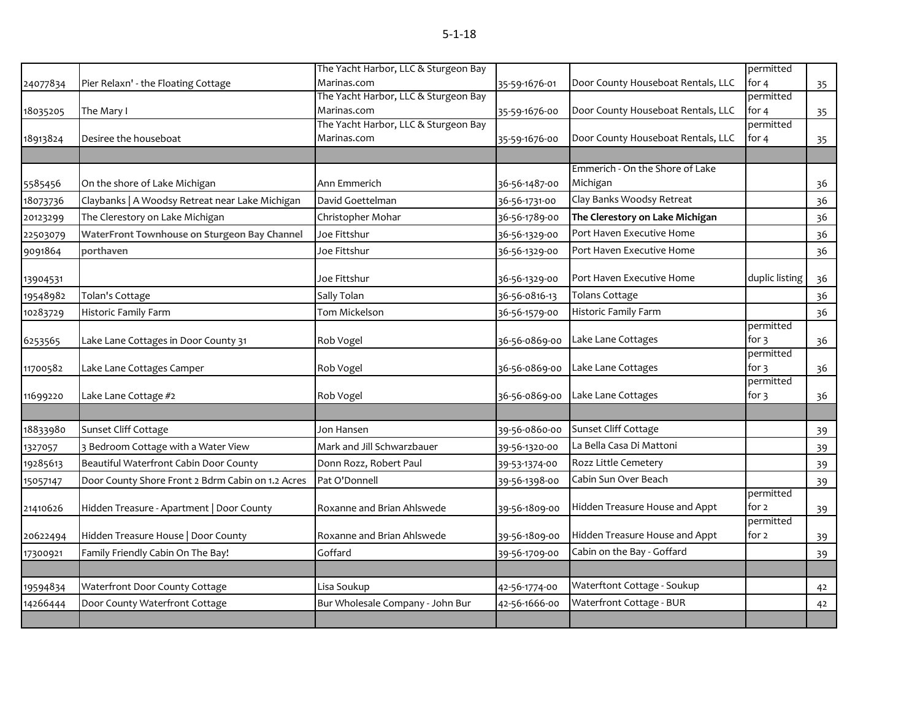|   | × |
|---|---|
|   |   |
| I |   |
|   |   |

|          |                                                   | The Yacht Harbor, LLC & Sturgeon Bay |               |                                    | permitted            |    |
|----------|---------------------------------------------------|--------------------------------------|---------------|------------------------------------|----------------------|----|
| 24077834 | Pier Relaxn' - the Floating Cottage               | Marinas.com                          | 35-59-1676-01 | Door County Houseboat Rentals, LLC | for $4$              | 35 |
|          |                                                   | The Yacht Harbor, LLC & Sturgeon Bay |               |                                    | permitted            |    |
| 18035205 | The Mary I                                        | Marinas.com                          | 35-59-1676-00 | Door County Houseboat Rentals, LLC | for 4                | 35 |
|          |                                                   | The Yacht Harbor, LLC & Sturgeon Bay |               |                                    | permitted            |    |
| 18913824 | Desiree the houseboat                             | Marinas.com                          | 35-59-1676-00 | Door County Houseboat Rentals, LLC | for $4$              | 35 |
|          |                                                   |                                      |               | Emmerich - On the Shore of Lake    |                      |    |
| 5585456  | On the shore of Lake Michigan                     | Ann Emmerich                         | 36-56-1487-00 | Michigan                           |                      | 36 |
| 18073736 | Claybanks   A Woodsy Retreat near Lake Michigan   | David Goettelman                     | 36-56-1731-00 | Clay Banks Woodsy Retreat          |                      | 36 |
| 20123299 | The Clerestory on Lake Michigan                   | Christopher Mohar                    | 36-56-1789-00 | The Clerestory on Lake Michigan    |                      | 36 |
| 22503079 | WaterFront Townhouse on Sturgeon Bay Channel      | Joe Fittshur                         | 36-56-1329-00 | Port Haven Executive Home          |                      | 36 |
| 9091864  | porthaven                                         | Joe Fittshur                         | 36-56-1329-00 | Port Haven Executive Home          |                      | 36 |
|          |                                                   |                                      |               |                                    |                      |    |
| 13904531 |                                                   | Joe Fittshur                         | 36-56-1329-00 | Port Haven Executive Home          | duplic listing       | 36 |
| 19548982 | Tolan's Cottage                                   | Sally Tolan                          | 36-56-0816-13 | <b>Tolans Cottage</b>              |                      | 36 |
| 10283729 | Historic Family Farm                              | Tom Mickelson                        | 36-56-1579-00 | Historic Family Farm               |                      | 36 |
|          |                                                   |                                      |               |                                    | permitted            |    |
| 6253565  | Lake Lane Cottages in Door County 31              | Rob Vogel                            | 36-56-0869-00 | Lake Lane Cottages                 | for $3$<br>permitted | 36 |
| 11700582 | Lake Lane Cottages Camper                         | Rob Vogel                            | 36-56-0869-00 | Lake Lane Cottages                 | for $3$              | 36 |
|          |                                                   |                                      |               |                                    | permitted            |    |
| 11699220 | Lake Lane Cottage #2                              | Rob Vogel                            | 36-56-0869-00 | Lake Lane Cottages                 | for $\mathfrak z$    | 36 |
|          |                                                   |                                      |               |                                    |                      |    |
| 18833980 | Sunset Cliff Cottage                              | Jon Hansen                           | 39-56-0860-00 | Sunset Cliff Cottage               |                      | 39 |
| 1327057  | 3 Bedroom Cottage with a Water View               | Mark and Jill Schwarzbauer           | 39-56-1320-00 | La Bella Casa Di Mattoni           |                      | 39 |
| 19285613 | Beautiful Waterfront Cabin Door County            | Donn Rozz, Robert Paul               | 39-53-1374-00 | Rozz Little Cemetery               |                      | 39 |
| 15057147 | Door County Shore Front 2 Bdrm Cabin on 1.2 Acres | Pat O'Donnell                        | 39-56-1398-00 | Cabin Sun Over Beach               |                      | 39 |
| 21410626 | Hidden Treasure - Apartment   Door County         | Roxanne and Brian Ahlswede           | 39-56-1809-00 | Hidden Treasure House and Appt     | permitted<br>for 2   | 39 |
| 20622494 | Hidden Treasure House   Door County               | Roxanne and Brian Ahlswede           | 39-56-1809-00 | Hidden Treasure House and Appt     | permitted<br>for 2   | 39 |
| 17300921 | Family Friendly Cabin On The Bay!                 | Goffard                              | 39-56-1709-00 | Cabin on the Bay - Goffard         |                      | 39 |
|          |                                                   |                                      |               |                                    |                      |    |
| 19594834 | Waterfront Door County Cottage                    | Lisa Soukup                          | 42-56-1774-00 | Waterftont Cottage - Soukup        |                      | 42 |
| 14266444 | Door County Waterfront Cottage                    | Bur Wholesale Company - John Bur     | 42-56-1666-00 | Waterfront Cottage - BUR           |                      | 42 |
|          |                                                   |                                      |               |                                    |                      |    |
|          |                                                   |                                      |               |                                    |                      |    |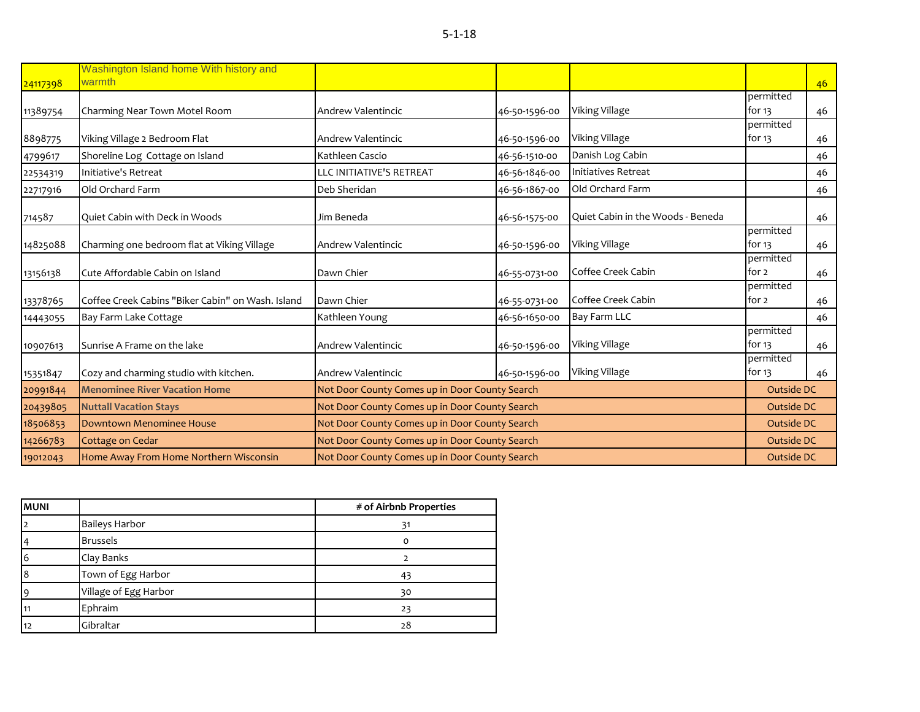| × | ×  |
|---|----|
| I | ۰, |
|   |    |

| 24117398 | Washington Island home With history and<br>warmth |                                                |               |                                   |                       | 46 |
|----------|---------------------------------------------------|------------------------------------------------|---------------|-----------------------------------|-----------------------|----|
|          |                                                   |                                                |               |                                   | permitted             |    |
| 11389754 | Charming Near Town Motel Room                     | Andrew Valentincic                             | 46-50-1596-00 | Viking Village                    | for $13$              | 46 |
|          |                                                   |                                                |               |                                   | permitted             |    |
| 8898775  | Viking Village 2 Bedroom Flat                     | Andrew Valentincic                             | 46-50-1596-00 | Viking Village                    | for $13$              | 46 |
| 4799617  | Shoreline Log Cottage on Island                   | Kathleen Cascio                                | 46-56-1510-00 | Danish Log Cabin                  |                       | 46 |
| 22534319 | Initiative's Retreat                              | LLC INITIATIVE'S RETREAT                       | 46-56-1846-00 | Initiatives Retreat               |                       | 46 |
| 22717916 | Old Orchard Farm                                  | Deb Sheridan                                   | 46-56-1867-00 | Old Orchard Farm                  |                       | 46 |
| 714587   | Quiet Cabin with Deck in Woods                    | Jim Beneda                                     | 46-56-1575-00 | Quiet Cabin in the Woods - Beneda |                       | 46 |
| 14825088 | Charming one bedroom flat at Viking Village       | Andrew Valentincic                             | 46-50-1596-00 | Viking Village                    | permitted<br>for $13$ | 46 |
| 13156138 | Cute Affordable Cabin on Island                   | Dawn Chier                                     | 46-55-0731-00 | Coffee Creek Cabin                | permitted<br>for 2    | 46 |
| 13378765 | Coffee Creek Cabins "Biker Cabin" on Wash. Island | Dawn Chier                                     | 46-55-0731-00 | Coffee Creek Cabin                | permitted<br>for 2    | 46 |
| 14443055 | Bay Farm Lake Cottage                             | Kathleen Young                                 | 46-56-1650-00 | Bay Farm LLC                      |                       | 46 |
| 10907613 | Sunrise A Frame on the lake                       | Andrew Valentincic                             | 46-50-1596-00 | Viking Village                    | permitted<br>for $13$ | 46 |
| 15351847 | Cozy and charming studio with kitchen.            | Andrew Valentincic                             | 46-50-1596-00 | Viking Village                    | permitted<br>for $13$ | 46 |
| 20991844 | <b>Menominee River Vacation Home</b>              | Not Door County Comes up in Door County Search |               |                                   | Outside DC            |    |
| 20439805 | <b>Nuttall Vacation Stays</b>                     | Not Door County Comes up in Door County Search |               |                                   | Outside DC            |    |
| 18506853 | Downtown Menominee House                          | Not Door County Comes up in Door County Search |               |                                   | Outside DC            |    |
| 14266783 | Cottage on Cedar                                  | Not Door County Comes up in Door County Search |               |                                   | Outside DC            |    |
| 19012043 | Home Away From Home Northern Wisconsin            | Not Door County Comes up in Door County Search |               |                                   | Outside DC            |    |

| <b>MUNI</b>    |                       | # of Airbnb Properties |
|----------------|-----------------------|------------------------|
| $\overline{2}$ | <b>Baileys Harbor</b> | 31                     |
| $\overline{4}$ | <b>Brussels</b>       | $\Omega$               |
| 6              | Clay Banks            |                        |
| 8              | Town of Egg Harbor    | 43                     |
| $\overline{9}$ | Village of Egg Harbor | 30                     |
| 11             | Ephraim               | 23                     |
| 12             | Gibraltar             | 28                     |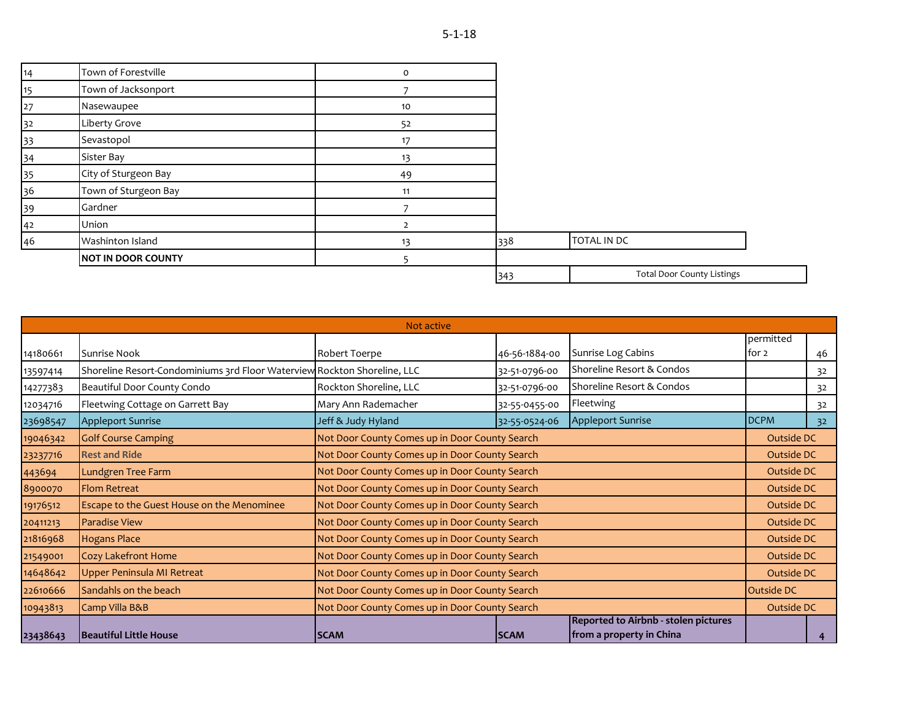| 14 | Town of Forestville       | $\mathsf{o}$   |     |                                   |
|----|---------------------------|----------------|-----|-----------------------------------|
| 15 | Town of Jacksonport       |                |     |                                   |
| 27 | Nasewaupee                | 10             |     |                                   |
| 32 | Liberty Grove             | 52             |     |                                   |
| 33 | Sevastopol                | 17             |     |                                   |
| 34 | Sister Bay                | 13             |     |                                   |
| 35 | City of Sturgeon Bay      | 49             |     |                                   |
| 36 | Town of Sturgeon Bay      | 11             |     |                                   |
| 39 | Gardner                   |                |     |                                   |
| 42 | Union                     | $\overline{2}$ |     |                                   |
| 46 | Washinton Island          | 13             | 338 | TOTAL IN DC                       |
|    | <b>NOT IN DOOR COUNTY</b> |                |     |                                   |
|    |                           |                | 343 | <b>Total Door County Listings</b> |

|          |                                                                          | Not active                                     |                                                |                                                                  |                    |            |
|----------|--------------------------------------------------------------------------|------------------------------------------------|------------------------------------------------|------------------------------------------------------------------|--------------------|------------|
| 14180661 | Sunrise Nook                                                             | Robert Toerpe                                  | 46-56-1884-00                                  | Sunrise Log Cabins                                               | permitted<br>for 2 | 46         |
| 13597414 | Shoreline Resort-Condominiums 3rd Floor Waterview Rockton Shoreline, LLC |                                                | 32-51-0796-00                                  | Shoreline Resort & Condos                                        |                    | 32         |
| 14277383 | Beautiful Door County Condo                                              | Rockton Shoreline, LLC                         | 32-51-0796-00                                  | Shoreline Resort & Condos                                        |                    | 32         |
| 12034716 | Fleetwing Cottage on Garrett Bay                                         | Mary Ann Rademacher                            | 32-55-0455-00                                  | Fleetwing                                                        |                    | 32         |
| 23698547 | <b>Appleport Sunrise</b>                                                 | Jeff & Judy Hyland                             | 32-55-0524-06                                  | <b>Appleport Sunrise</b>                                         | <b>DCPM</b>        | 32         |
| 19046342 | <b>Golf Course Camping</b>                                               | Not Door County Comes up in Door County Search |                                                |                                                                  | Outside DC         |            |
| 23237716 | <b>Rest and Ride</b>                                                     |                                                | Not Door County Comes up in Door County Search |                                                                  |                    | Outside DC |
| 443694   | Lundgren Tree Farm                                                       |                                                | Not Door County Comes up in Door County Search |                                                                  |                    | Outside DC |
| 8900070  | <b>Flom Retreat</b>                                                      | Not Door County Comes up in Door County Search |                                                |                                                                  | Outside DC         |            |
| 19176512 | Escape to the Guest House on the Menominee                               | Not Door County Comes up in Door County Search |                                                |                                                                  | Outside DC         |            |
| 20411213 | <b>Paradise View</b>                                                     | Not Door County Comes up in Door County Search |                                                |                                                                  | Outside DC         |            |
| 21816968 | <b>Hogans Place</b>                                                      | Not Door County Comes up in Door County Search |                                                |                                                                  | Outside DC         |            |
| 21549001 | <b>Cozy Lakefront Home</b>                                               | Not Door County Comes up in Door County Search |                                                |                                                                  | Outside DC         |            |
| 14648642 | Upper Peninsula MI Retreat                                               | Not Door County Comes up in Door County Search |                                                |                                                                  | Outside DC         |            |
| 22610666 | Sandahls on the beach                                                    | Not Door County Comes up in Door County Search |                                                |                                                                  | Outside DC         |            |
| 10943813 | Camp Villa B&B                                                           | Not Door County Comes up in Door County Search |                                                |                                                                  | Outside DC         |            |
| 23438643 | Beautiful Little House                                                   | <b>SCAM</b>                                    | <b>SCAM</b>                                    | Reported to Airbnb - stolen pictures<br>from a property in China |                    |            |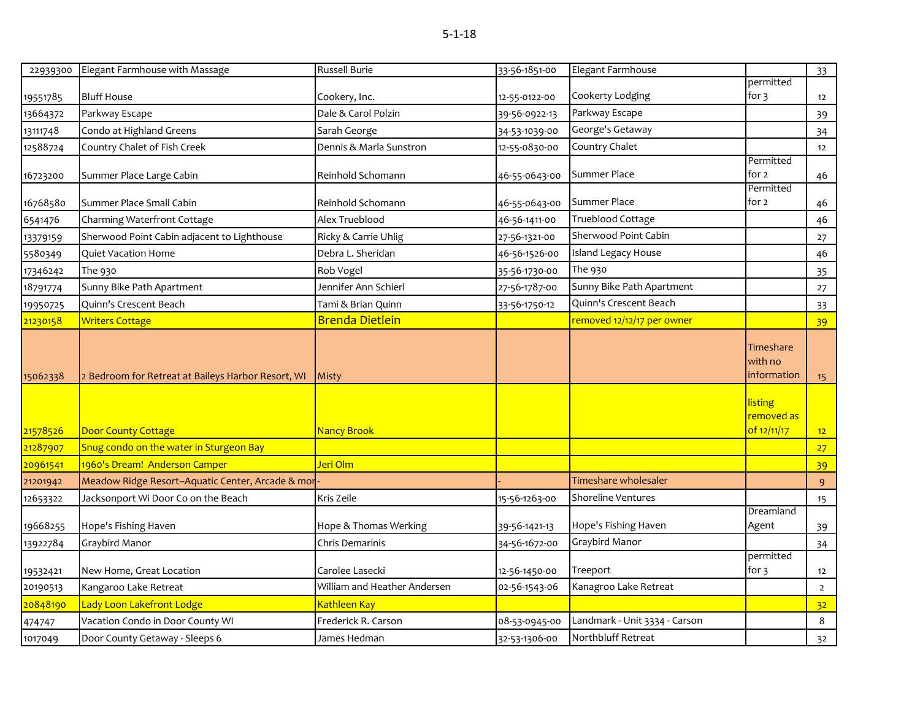|          | 22939300 Elegant Farmhouse with Massage            | <b>Russell Burie</b>         | 33-56-1851-00 | Elegant Farmhouse             |                                             | 33               |
|----------|----------------------------------------------------|------------------------------|---------------|-------------------------------|---------------------------------------------|------------------|
|          |                                                    |                              |               |                               | permitted                                   |                  |
| 19551785 | <b>Bluff House</b>                                 | Cookery, Inc.                | 12-55-0122-00 | Cookerty Lodging              | for 3                                       | 12               |
| 13664372 | Parkway Escape                                     | Dale & Carol Polzin          | 39-56-0922-13 | Parkway Escape                |                                             | 39               |
| 13111748 | Condo at Highland Greens                           | Sarah George                 | 34-53-1039-00 | George's Getaway              |                                             | 34               |
| 12588724 | Country Chalet of Fish Creek                       | Dennis & Marla Sunstron      | 12-55-0830-00 | Country Chalet                |                                             | 12               |
| 16723200 | Summer Place Large Cabin                           | Reinhold Schomann            | 46-55-0643-00 | Summer Place                  | Permitted<br>for 2                          | 46               |
| 16768580 | Summer Place Small Cabin                           | Reinhold Schomann            | 46-55-0643-00 | Summer Place                  | Permitted<br>for 2                          | 46               |
| 6541476  | Charming Waterfront Cottage                        | Alex Trueblood               | 46-56-1411-00 | <b>Trueblood Cottage</b>      |                                             | 46               |
| 13379159 | Sherwood Point Cabin adjacent to Lighthouse        | Ricky & Carrie Uhlig         | 27-56-1321-00 | Sherwood Point Cabin          |                                             | 27               |
| 5580349  | <b>Quiet Vacation Home</b>                         | Debra L. Sheridan            | 46-56-1526-00 | <b>Island Legacy House</b>    |                                             | 46               |
| 17346242 | The 930                                            | Rob Vogel                    | 35-56-1730-00 | The 930                       |                                             | 35               |
| 18791774 | Sunny Bike Path Apartment                          | Jennifer Ann Schierl         | 27-56-1787-00 | Sunny Bike Path Apartment     |                                             | $27$             |
| 19950725 | Quinn's Crescent Beach                             | Tami & Brian Quinn           | 33-56-1750-12 | Quinn's Crescent Beach        |                                             | 33               |
| 21230158 | <b>Writers Cottage</b>                             | <b>Brenda Dietlein</b>       |               | removed 12/12/17 per owner    |                                             | 39               |
| 15062338 | 2 Bedroom for Retreat at Baileys Harbor Resort, WI | <b>Misty</b>                 |               |                               | Timeshare<br>with no<br>information         | 15 <sub>15</sub> |
| 21578526 | <b>Door County Cottage</b>                         | <b>Nancy Brook</b>           |               |                               | <b>listing</b><br>removed as<br>of 12/11/17 | 12               |
| 21287907 | Snug condo on the water in Sturgeon Bay            |                              |               |                               |                                             | 27               |
| 20961541 | 1960's Dream! Anderson Camper                      | Jeri Olm                     |               |                               |                                             | 39               |
| 21201942 | Meadow Ridge Resort--Aquatic Center, Arcade & mor  |                              |               | Timeshare wholesaler          |                                             | 9                |
| 12653322 | Jacksonport Wi Door Co on the Beach                | Kris Zeile                   | 15-56-1263-00 | <b>Shoreline Ventures</b>     |                                             | 15               |
| 19668255 | Hope's Fishing Haven                               | Hope & Thomas Werking        | 39-56-1421-13 | Hope's Fishing Haven          | Dreamland<br>Agent                          | 39               |
| 13922784 | Graybird Manor                                     | Chris Demarinis              | 34-56-1672-00 | Graybird Manor                |                                             | 34               |
| 19532421 | New Home, Great Location                           | Carolee Lasecki              | 12-56-1450-00 | Treeport                      | permitted<br>for 3                          | 12               |
| 20190513 | Kangaroo Lake Retreat                              | William and Heather Andersen | 02-56-1543-06 | Kanagroo Lake Retreat         |                                             | $\overline{2}$   |
| 20848190 | Lady Loon Lakefront Lodge                          | <b>Kathleen Kay</b>          |               |                               |                                             | 32               |
| 474747   | Vacation Condo in Door County WI                   | Frederick R. Carson          | 08-53-0945-00 | Landmark - Unit 3334 - Carson |                                             | 8                |
| 1017049  | Door County Getaway - Sleeps 6                     | James Hedman                 | 32-53-1306-00 | Northbluff Retreat            |                                             | 32               |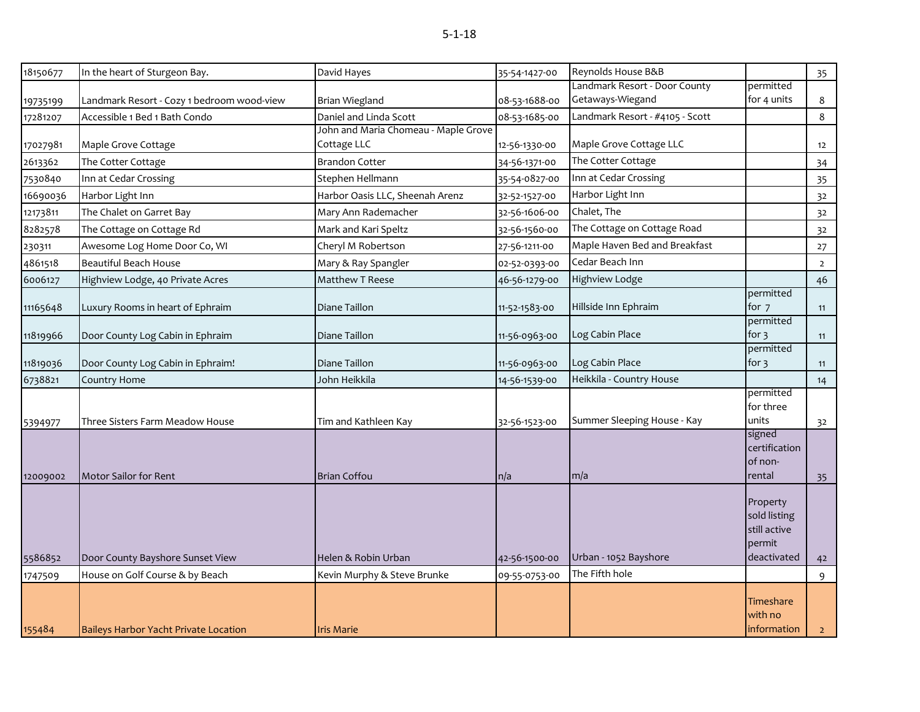| 18150677 | In the heart of Sturgeon Bay.              | David Hayes                                         | 35-54-1427-00 | Reynolds House B&B              |                                                                   | 35             |
|----------|--------------------------------------------|-----------------------------------------------------|---------------|---------------------------------|-------------------------------------------------------------------|----------------|
|          |                                            |                                                     |               | Landmark Resort - Door County   | permitted                                                         |                |
| 19735199 | Landmark Resort - Cozy 1 bedroom wood-view | <b>Brian Wiegland</b>                               | 08-53-1688-00 | Getaways-Wiegand                | for 4 units                                                       | 8              |
| 17281207 | Accessible 1 Bed 1 Bath Condo              | Daniel and Linda Scott                              | 08-53-1685-00 | Landmark Resort - #4105 - Scott |                                                                   | 8              |
| 17027981 | Maple Grove Cottage                        | John and Maria Chomeau - Maple Grove<br>Cottage LLC | 12-56-1330-00 | Maple Grove Cottage LLC         |                                                                   | 12             |
| 2613362  | The Cotter Cottage                         | <b>Brandon Cotter</b>                               | 34-56-1371-00 | The Cotter Cottage              |                                                                   | 34             |
| 7530840  | Inn at Cedar Crossing                      | Stephen Hellmann                                    | 35-54-0827-00 | Inn at Cedar Crossing           |                                                                   | 35             |
| 16690036 | Harbor Light Inn                           | Harbor Oasis LLC, Sheenah Arenz                     | 32-52-1527-00 | Harbor Light Inn                |                                                                   | 32             |
| 12173811 | The Chalet on Garret Bay                   | Mary Ann Rademacher                                 | 32-56-1606-00 | Chalet, The                     |                                                                   | 32             |
| 8282578  | The Cottage on Cottage Rd                  | Mark and Kari Speltz                                | 32-56-1560-00 | The Cottage on Cottage Road     |                                                                   | 32             |
| 230311   | Awesome Log Home Door Co, WI               | Cheryl M Robertson                                  | 27-56-1211-00 | Maple Haven Bed and Breakfast   |                                                                   | 27             |
| 4861518  | <b>Beautiful Beach House</b>               | Mary & Ray Spangler                                 | 02-52-0393-00 | Cedar Beach Inn                 |                                                                   | $\overline{2}$ |
| 6006127  | Highview Lodge, 40 Private Acres           | Matthew T Reese                                     | 46-56-1279-00 | <b>Highview Lodge</b>           |                                                                   | 46             |
| 11165648 | Luxury Rooms in heart of Ephraim           | Diane Taillon                                       | 11-52-1583-00 | Hillside Inn Ephraim            | permitted<br>for 7                                                | 11             |
| 11819966 | Door County Log Cabin in Ephraim           | Diane Taillon                                       | 11-56-0963-00 | Log Cabin Place                 | permitted<br>for $3$                                              | 11             |
| 11819036 | Door County Log Cabin in Ephraim!          | Diane Taillon                                       | 11-56-0963-00 | Log Cabin Place                 | permitted<br>for $\frac{1}{3}$                                    | 11             |
| 6738821  | Country Home                               | John Heikkila                                       | 14-56-1539-00 | Heikkila - Country House        |                                                                   | 14             |
| 5394977  | Three Sisters Farm Meadow House            | Tim and Kathleen Kay                                | 32-56-1523-00 | Summer Sleeping House - Kay     | permitted<br>for three<br>units                                   | 32             |
| 12009002 | Motor Sailor for Rent                      | <b>Brian Coffou</b>                                 | n/a           | m/a                             | signed<br>certification<br>of non-<br>rental                      | 35             |
| 5586852  | Door County Bayshore Sunset View           | Helen & Robin Urban                                 | 42-56-1500-00 | Urban - 1052 Bayshore           | Property<br>sold listing<br>still active<br>permit<br>deactivated | 42             |
| 1747509  | House on Golf Course & by Beach            | Kevin Murphy & Steve Brunke                         | 09-55-0753-00 | The Fifth hole                  |                                                                   | 9              |
| 155484   | Baileys Harbor Yacht Private Location      | <b>Iris Marie</b>                                   |               |                                 | Timeshare<br>with no<br>information                               | 2 <sup>1</sup> |